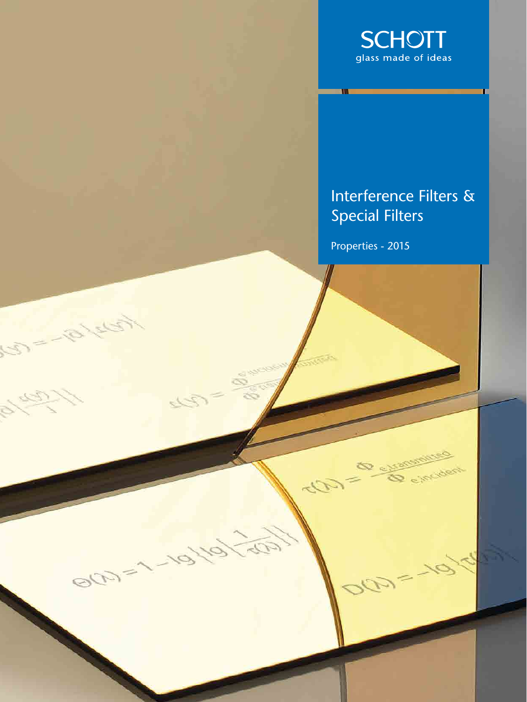

## Interference Filters & Special Filters

e incident

Properties - 2015

 $\sqrt{2}$ 

 $\mathcal{D}_{\mathcal{F}}$ 

60

تحلق

BOD=1-

 $\mathbb{Z}^3$ 

61

À.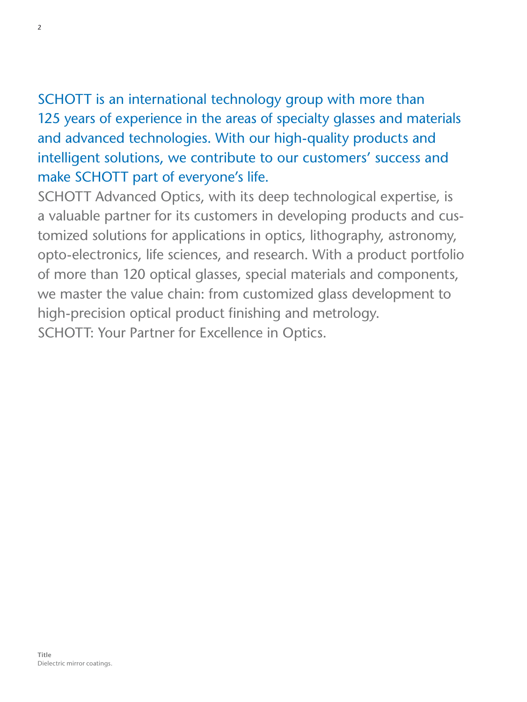## SCHOTT is an international technology group with more than 125 years of experience in the areas of specialty glasses and materials and advanced technologies. With our high-quality products and intelligent solutions, we contribute to our customers' success and make SCHOTT part of everyone's life.

SCHOTT Advanced Optics, with its deep technological expertise, is a valuable partner for its customers in developing products and customized solutions for applications in optics, lithography, astronomy, opto-electronics, life sciences, and research. With a product portfolio of more than 120 optical glasses, special materials and components, we master the value chain: from customized glass development to high-precision optical product finishing and metrology. SCHOTT: Your Partner for Excellence in Optics.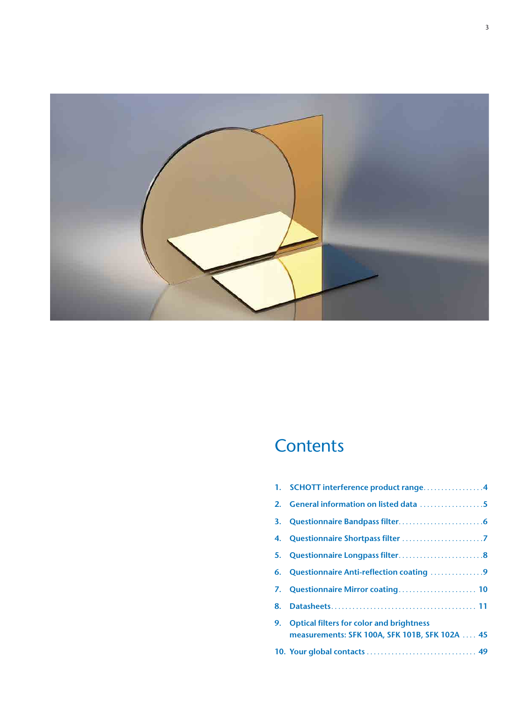

## **Contents**

|    | 1. SCHOTT interference product range4           |
|----|-------------------------------------------------|
|    | 2. General information on listed data 5         |
|    |                                                 |
|    |                                                 |
|    |                                                 |
|    | 6. Questionnaire Anti-reflection coating 9      |
|    | 7. Questionnaire Mirror coating 10              |
| 8. |                                                 |
| 9. | <b>Optical filters for color and brightness</b> |
|    | measurements: SFK 100A, SFK 101B, SFK 102A  45  |
|    |                                                 |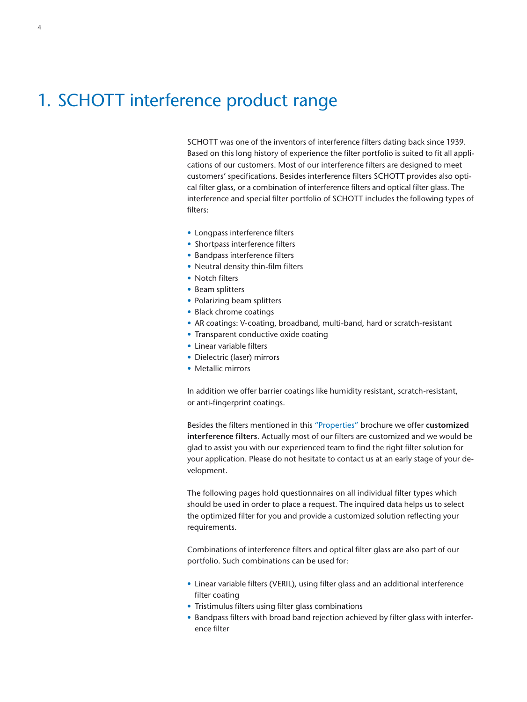## 1. SCHOTT interference product range

SCHOTT was one of the inventors of interference filters dating back since 1939. Based on this long history of experience the filter portfolio is suited to fit all applications of our customers. Most of our interference filters are designed to meet customers' specifications. Besides interference filters SCHOTT provides also optical filter glass, or a combination of interference filters and optical filter glass. The interference and special filter portfolio of SCHOTT includes the following types of filters:

- Longpass interference filters
- Shortpass interference filters
- Bandpass interference filters
- Neutral density thin-film filters
- Notch filters
- Beam splitters
- Polarizing beam splitters
- Black chrome coatings
- AR coatings: V-coating, broadband, multi-band, hard or scratch-resistant
- Transparent conductive oxide coating
- Linear variable filters
- Dielectric (laser) mirrors
- Metallic mirrors

In addition we offer barrier coatings like humidity resistant, scratch-resistant, or anti-fingerprint coatings.

Besides the filters mentioned in this "Properties" brochure we offer **customized interference filters**. Actually most of our filters are customized and we would be glad to assist you with our experienced team to find the right filter solution for your application. Please do not hesitate to contact us at an early stage of your development.

The following pages hold questionnaires on all individual filter types which should be used in order to place a request. The inquired data helps us to select the optimized filter for you and provide a customized solution reflecting your requirements.

Combinations of interference filters and optical filter glass are also part of our portfolio. Such combinations can be used for:

- Linear variable filters (VERIL), using filter glass and an additional interference filter coating
- Tristimulus filters using filter glass combinations
- Bandpass filters with broad band rejection achieved by filter glass with interference filter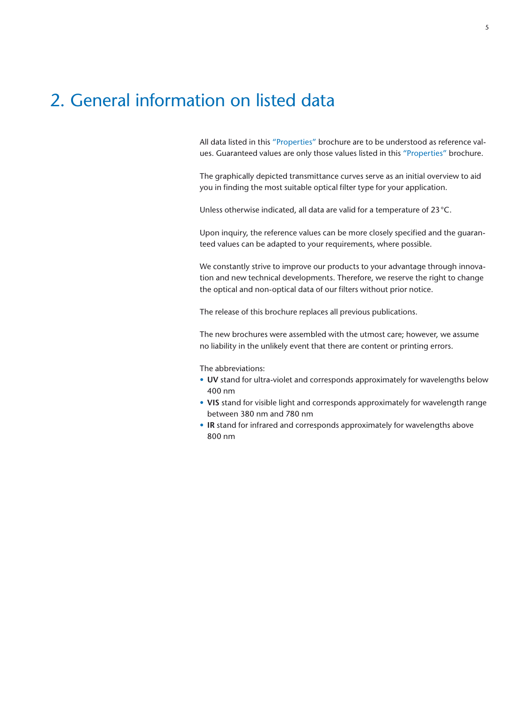## 2. General information on listed data

All data listed in this "Properties" brochure are to be understood as reference values. Guaranteed values are only those values listed in this "Properties" brochure.

The graphically depicted transmittance curves serve as an initial overview to aid you in finding the most suitable optical filter type for your application.

Unless otherwise indicated, all data are valid for a temperature of 23°C.

Upon inquiry, the reference values can be more closely specified and the guaranteed values can be adapted to your requirements, where possible.

We constantly strive to improve our products to your advantage through innovation and new technical developments. Therefore, we reserve the right to change the optical and non-optical data of our filters without prior notice.

The release of this brochure replaces all previous publications.

The new brochures were assembled with the utmost care; however, we assume no liability in the unlikely event that there are content or printing errors.

The abbreviations:

- **UV** stand for ultra-violet and corresponds approximately for wavelengths below 400 nm
- **VIS** stand for visible light and corresponds approximately for wavelength range between 380 nm and 780 nm
- **IR** stand for infrared and corresponds approximately for wavelengths above 800 nm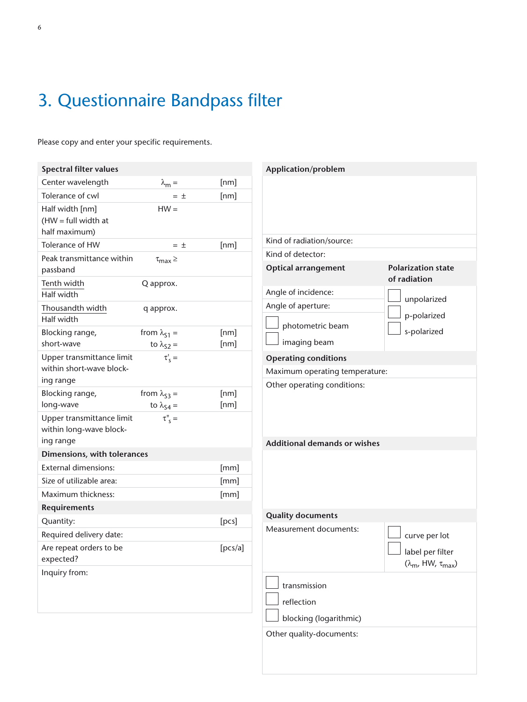## 3. Questionnaire Bandpass filter

| <b>Spectral filter values</b>                             |                                         |         | Application/problem                 |                                                             |
|-----------------------------------------------------------|-----------------------------------------|---------|-------------------------------------|-------------------------------------------------------------|
| Center wavelength                                         | $\lambda_m =$                           | [nm]    |                                     |                                                             |
| Tolerance of cwl                                          | $=$ $\pm$                               | [nm]    |                                     |                                                             |
| Half width [nm]<br>$(HW = full width at$<br>half maximum) | $HW =$                                  |         |                                     |                                                             |
| Tolerance of HW                                           | $=$ $\pm$                               | [nm]    | Kind of radiation/source:           |                                                             |
| Peak transmittance within                                 | $\tau_{max}$ $\geq$                     |         | Kind of detector:                   |                                                             |
| passband                                                  |                                         |         | <b>Optical arrangement</b>          | <b>Polarization state</b>                                   |
| Tenth width<br>Half width                                 | Q approx.                               |         | Angle of incidence:                 | of radiation<br>unpolarized                                 |
| Thousandth width<br>Half width                            | q approx.                               |         | Angle of aperture:                  | p-polarized                                                 |
| Blocking range,                                           | from $\lambda_{51}$ =                   | [nm]    | photometric beam                    | s-polarized                                                 |
| short-wave                                                | to $\lambda_{S2}$ =                     | [nm]    | imaging beam                        |                                                             |
| Upper transmittance limit                                 | $\tau_s' =$                             |         | <b>Operating conditions</b>         |                                                             |
| within short-wave block-                                  |                                         |         | Maximum operating temperature:      |                                                             |
| ing range                                                 |                                         |         | Other operating conditions:         |                                                             |
| Blocking range,                                           | from $\lambda_{53}$ =                   | [nm]    |                                     |                                                             |
| long-wave<br>Upper transmittance limit                    | to $\lambda_{S4}$ =<br>$\tau''_{\ S} =$ | [nm]    |                                     |                                                             |
| within long-wave block-<br>ing range                      |                                         |         | <b>Additional demands or wishes</b> |                                                             |
| Dimensions, with tolerances                               |                                         |         |                                     |                                                             |
| <b>External dimensions:</b>                               |                                         | [mm]    |                                     |                                                             |
| Size of utilizable area:                                  |                                         | [mm]    |                                     |                                                             |
| Maximum thickness:                                        |                                         | [mm]    |                                     |                                                             |
| <b>Requirements</b>                                       |                                         |         |                                     |                                                             |
| Quantity:                                                 |                                         | [pcs]   | <b>Quality documents</b>            |                                                             |
| Required delivery date:                                   |                                         |         | Measurement documents:              | curve per lot                                               |
| Are repeat orders to be<br>expected?                      |                                         | [pcs/a] |                                     | label per filter<br>$(\lambda_{\rm m}, HW, \tau_{\rm max})$ |
| Inquiry from:                                             |                                         |         |                                     |                                                             |
|                                                           |                                         |         | transmission                        |                                                             |
|                                                           |                                         |         | reflection                          |                                                             |
|                                                           |                                         |         | blocking (logarithmic)              |                                                             |
|                                                           |                                         |         | Other quality-documents:            |                                                             |
|                                                           |                                         |         |                                     |                                                             |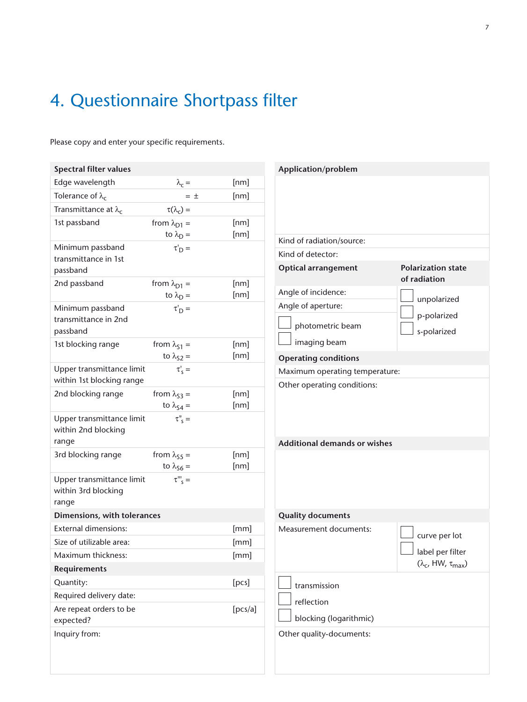## 4. Questionnaire Shortpass filter

| <b>Spectral filter values</b>        |                                                 |           |              |
|--------------------------------------|-------------------------------------------------|-----------|--------------|
| Edge wavelength                      | $\lambda_c =$                                   |           | [nm]         |
| Tolerance of $\lambda_c$             |                                                 | $=$ $\pm$ | [nm]         |
| Transmittance at $\lambda_c$         | $\tau(\lambda_c) =$                             |           |              |
| 1st passband                         | from $\lambda_{D1}$ =                           |           | [nm]         |
|                                      | to $\lambda_D =$                                |           | [nm]         |
| Minimum passband                     | $\tau'_{\rm D}$ =                               |           |              |
| transmittance in 1st                 |                                                 |           |              |
| passband<br>2nd passband             |                                                 |           |              |
|                                      | from $\lambda_{D1}$ =<br>to $\lambda_{\rm D}$ = |           | [nm]<br>[nm] |
| Minimum passband                     | $\tau'_{\rm D}$ =                               |           |              |
| transmittance in 2nd                 |                                                 |           |              |
| passband                             |                                                 |           |              |
| 1st blocking range                   | from $\lambda_{51}$ =                           |           | [nm]         |
|                                      | to $\lambda_{S2}$ =                             |           | [nm]         |
| Upper transmittance limit            | $\tau'_{\varsigma} =$                           |           |              |
| within 1st blocking range            |                                                 |           |              |
| 2nd blocking range                   | from $\lambda_{53}$ =                           |           | [nm]         |
|                                      | to $\lambda_{S4}$ =                             |           | [nm]         |
| Upper transmittance limit            | $\tau$ <sup>"</sup> $\varsigma$ =               |           |              |
| within 2nd blocking<br>range         |                                                 |           |              |
| 3rd blocking range                   | from $\lambda_{55}$ =                           |           | [nm]         |
|                                      | to $\lambda_{56}$ =                             |           | [nm]         |
| Upper transmittance limit            | $\tau^{\prime\prime\prime}$ <sub>s</sub> =      |           |              |
| within 3rd blocking                  |                                                 |           |              |
| range                                |                                                 |           |              |
| Dimensions, with tolerances          |                                                 |           |              |
| <b>External dimensions:</b>          |                                                 |           | [mm]         |
| Size of utilizable area:             |                                                 |           | [mm]         |
| Maximum thickness:                   |                                                 |           | [mm]         |
| Requirements                         |                                                 |           |              |
| Quantity:                            |                                                 |           | [pcs]        |
| Required delivery date:              |                                                 |           |              |
|                                      |                                                 |           | [pcs/a]      |
| Are repeat orders to be<br>expected? |                                                 |           |              |

| Application/problem                                                |  |  |  |  |
|--------------------------------------------------------------------|--|--|--|--|
|                                                                    |  |  |  |  |
|                                                                    |  |  |  |  |
|                                                                    |  |  |  |  |
|                                                                    |  |  |  |  |
| <b>Polarization state</b><br>of radiation                          |  |  |  |  |
| unpolarized                                                        |  |  |  |  |
|                                                                    |  |  |  |  |
| p-polarized                                                        |  |  |  |  |
| s-polarized                                                        |  |  |  |  |
|                                                                    |  |  |  |  |
|                                                                    |  |  |  |  |
| Maximum operating temperature:                                     |  |  |  |  |
|                                                                    |  |  |  |  |
|                                                                    |  |  |  |  |
|                                                                    |  |  |  |  |
|                                                                    |  |  |  |  |
| curve per lot<br>label per filter<br>$(\lambda_c, HW, \tau_{max})$ |  |  |  |  |
|                                                                    |  |  |  |  |
|                                                                    |  |  |  |  |
|                                                                    |  |  |  |  |
|                                                                    |  |  |  |  |
|                                                                    |  |  |  |  |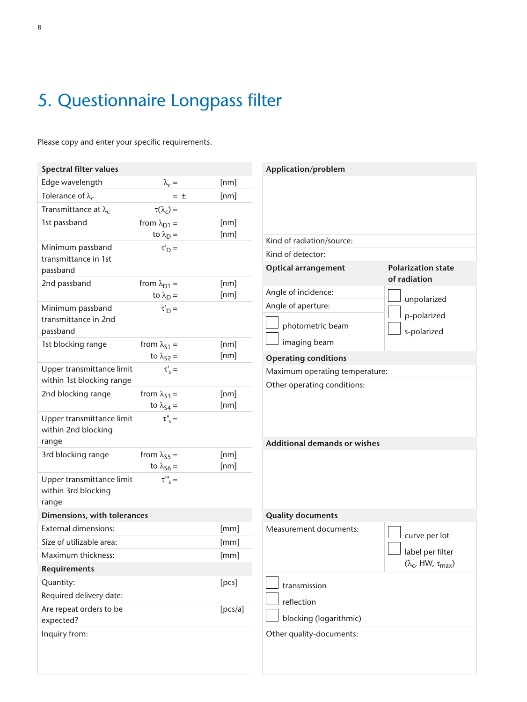## 5. Questionnaire Longpass filter

| <b>Spectral filter values</b>                    |                                            |         | Application/problem                 |                                   |
|--------------------------------------------------|--------------------------------------------|---------|-------------------------------------|-----------------------------------|
| Edge wavelength                                  | $\lambda_c =$                              | [nm]    |                                     |                                   |
| Tolerance of $\lambda_c$                         | $=$ $\pm$                                  | [nm]    |                                     |                                   |
| Transmittance at $\lambda_c$                     | $\tau(\lambda_c) =$                        |         |                                     |                                   |
| 1st passband                                     | from $\lambda_{D1}$ =                      | [nm]    |                                     |                                   |
|                                                  | to $\lambda_D =$                           | [nm]    | Kind of radiation/source:           |                                   |
| Minimum passband                                 | $\tau_D' =$                                |         | Kind of detector:                   |                                   |
| transmittance in 1st<br>passband                 |                                            |         | <b>Optical arrangement</b>          | <b>Polarization state</b>         |
| 2nd passband                                     | from $\lambda_{D1}$ =                      | [nm]    |                                     | of radiation                      |
|                                                  | to $\lambda_D =$                           | [nm]    | Angle of incidence:                 |                                   |
| Minimum passband                                 | $\tau_D'$ =                                |         | Angle of aperture:                  | unpolarized                       |
| transmittance in 2nd                             |                                            |         |                                     | p-polarized                       |
| passband                                         |                                            |         | photometric beam                    | s-polarized                       |
| 1st blocking range                               | from $\lambda_{51}$ =                      | [nm]    | imaging beam                        |                                   |
|                                                  | to $\lambda_{S2}$ =                        | [nm]    | <b>Operating conditions</b>         |                                   |
| Upper transmittance limit                        | $\tau'_{\rm s} =$                          |         | Maximum operating temperature:      |                                   |
| within 1st blocking range                        |                                            |         | Other operating conditions:         |                                   |
| 2nd blocking range                               | from $\lambda_{53}$ =                      | [nm]    |                                     |                                   |
|                                                  | to $\lambda_{S4}$ =                        | [nm]    |                                     |                                   |
| Upper transmittance limit<br>within 2nd blocking | $\tau''_{\ S} =$                           |         |                                     |                                   |
| range                                            |                                            |         | <b>Additional demands or wishes</b> |                                   |
| 3rd blocking range                               | from $\lambda_{55}$ =                      | [nm]    |                                     |                                   |
|                                                  | to $\lambda_{56}$ =                        | [nm]    |                                     |                                   |
| Upper transmittance limit                        | $\tau^{\prime\prime\prime}$ <sub>s</sub> = |         |                                     |                                   |
| within 3rd blocking                              |                                            |         |                                     |                                   |
| range                                            |                                            |         |                                     |                                   |
| Dimensions, with tolerances                      |                                            |         | <b>Quality documents</b>            |                                   |
| <b>External dimensions:</b>                      |                                            | [mm]    | Measurement documents:              | curve per lot                     |
| Size of utilizable area:                         |                                            | [mm]    |                                     | label per filter                  |
| Maximum thickness:                               |                                            | [mm]    |                                     | $(\lambda_c$ , HW, $\tau_{max}$ ) |
| <b>Requirements</b>                              |                                            |         |                                     |                                   |
| Quantity:                                        |                                            | [pcs]   | transmission                        |                                   |
| Required delivery date:                          |                                            |         | reflection                          |                                   |
| Are repeat orders to be                          |                                            | [pcs/a] | blocking (logarithmic)              |                                   |
| expected?                                        |                                            |         |                                     |                                   |
| Inquiry from:                                    |                                            |         | Other quality-documents:            |                                   |
|                                                  |                                            |         |                                     |                                   |
|                                                  |                                            |         |                                     |                                   |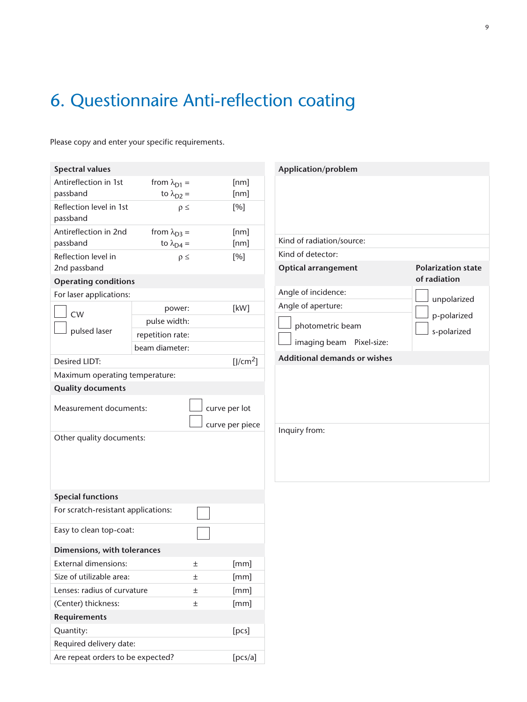## 6. Questionnaire Anti-reflection coating

| <b>Spectral values</b>              |                            |                      | Application/problem                             |                           |
|-------------------------------------|----------------------------|----------------------|-------------------------------------------------|---------------------------|
| Antireflection in 1st               | from $\lambda_{D1}$ =      | [nm]                 |                                                 |                           |
| passband                            | to $\lambda_{D2}$ =        | [nm]                 |                                                 |                           |
| Reflection level in 1st<br>passband | $\rho \leq$                | [%]                  |                                                 |                           |
| Antireflection in 2nd               | from $\lambda_{D3}$ =      | [nm]                 |                                                 |                           |
| passband                            | to $\lambda_{\text{D4}} =$ | [nm]                 | Kind of radiation/source:                       |                           |
| Reflection level in<br>2nd passband | $\rho \leq$                | [%]                  | Kind of detector:<br><b>Optical arrangement</b> | <b>Polarization state</b> |
| <b>Operating conditions</b>         |                            |                      |                                                 | of radiation              |
| For laser applications:             |                            |                      | Angle of incidence:                             |                           |
|                                     | power:                     | [kW]                 | Angle of aperture:                              | unpolarized               |
| <b>CW</b>                           | pulse width:               |                      |                                                 | p-polarized               |
| pulsed laser                        | repetition rate:           |                      | photometric beam                                | s-polarized               |
|                                     | beam diameter:             |                      | imaging beam Pixel-size:                        |                           |
| Desired LIDT:                       |                            | [J/cm <sup>2</sup> ] | <b>Additional demands or wishes</b>             |                           |
| Maximum operating temperature:      |                            |                      |                                                 |                           |
| <b>Quality documents</b>            |                            |                      |                                                 |                           |
| Measurement documents:              |                            |                      |                                                 |                           |
| Other quality documents:            |                            | curve per piece      | Inquiry from:                                   |                           |
| <b>Special functions</b>            |                            |                      |                                                 |                           |
| For scratch-resistant applications: |                            |                      |                                                 |                           |
| Easy to clean top-coat:             |                            |                      |                                                 |                           |
| Dimensions, with tolerances         |                            |                      |                                                 |                           |
| <b>External dimensions:</b>         |                            | [mm]<br>$\pm$        |                                                 |                           |
| Size of utilizable area:            |                            | [mm]<br>$\pm$        |                                                 |                           |
| Lenses: radius of curvature         |                            | [mm]<br>$\pm$        |                                                 |                           |
| (Center) thickness:                 |                            | $\pm$<br>[mm]        |                                                 |                           |
| <b>Requirements</b>                 |                            |                      |                                                 |                           |
| Quantity:                           |                            | [pcs]                |                                                 |                           |
| Required delivery date:             |                            |                      |                                                 |                           |
| Are repeat orders to be expected?   |                            | [pcs/a]              |                                                 |                           |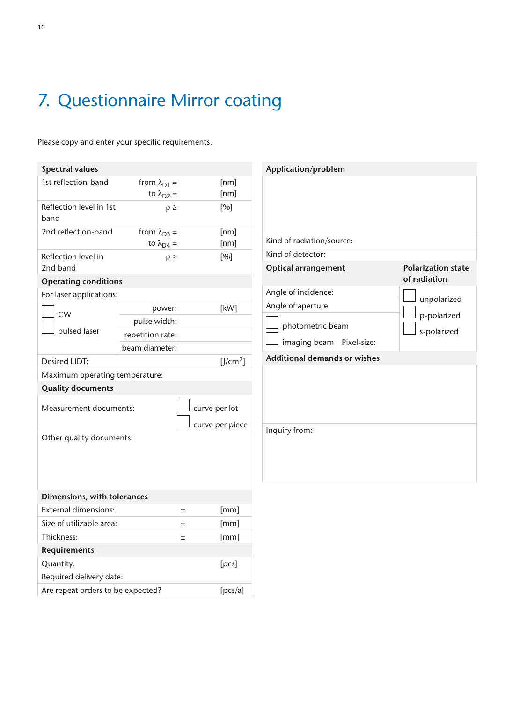## 7. Questionnaire Mirror coating

| <b>Spectral values</b>                       |                            |                                  | Application/problem                 |                           |
|----------------------------------------------|----------------------------|----------------------------------|-------------------------------------|---------------------------|
| 1st reflection-band                          | from $\lambda_{D1}$ =      | [nm]                             |                                     |                           |
|                                              | to $\lambda_{D2}$ =        | [nm]                             |                                     |                           |
| Reflection level in 1st<br>band              | $\rho \geq$                | [%]                              |                                     |                           |
| 2nd reflection-band                          | from $\lambda_{D3}$ =      | [nm]                             |                                     |                           |
|                                              | to $\lambda_{\text{D4}} =$ | [nm]                             | Kind of radiation/source:           |                           |
| Reflection level in                          | $\rho \geq$                | [%]                              | Kind of detector:                   |                           |
| 2nd band                                     |                            |                                  | <b>Optical arrangement</b>          | <b>Polarization state</b> |
| <b>Operating conditions</b>                  |                            |                                  |                                     | of radiation              |
| For laser applications:                      |                            |                                  | Angle of incidence:                 | unpolarized               |
| CW                                           | power:                     | [kW]                             | Angle of aperture:                  |                           |
|                                              | pulse width:               |                                  | photometric beam                    | p-polarized               |
| pulsed laser                                 | repetition rate:           |                                  |                                     | s-polarized               |
|                                              | beam diameter:             |                                  | imaging beam Pixel-size:            |                           |
| <b>Desired LIDT:</b>                         |                            | [J/cm <sup>2</sup> ]             | <b>Additional demands or wishes</b> |                           |
| Maximum operating temperature:               |                            |                                  |                                     |                           |
| <b>Quality documents</b>                     |                            |                                  |                                     |                           |
| Measurement documents:                       |                            | curve per lot<br>curve per piece |                                     |                           |
|                                              |                            |                                  | Inquiry from:                       |                           |
| Other quality documents:                     |                            |                                  |                                     |                           |
| Dimensions, with tolerances                  |                            |                                  |                                     |                           |
| <b>External dimensions:</b><br>土             |                            | [mm]                             |                                     |                           |
| Size of utilizable area:                     | 土                          | [mm]                             |                                     |                           |
| Thickness:<br>$\pm$                          |                            | [mm]                             |                                     |                           |
| Requirements                                 |                            |                                  |                                     |                           |
| Quantity:                                    |                            | [pcs]                            |                                     |                           |
| Required delivery date:                      |                            |                                  |                                     |                           |
| Are repeat orders to be expected?<br>[pcs/a] |                            |                                  |                                     |                           |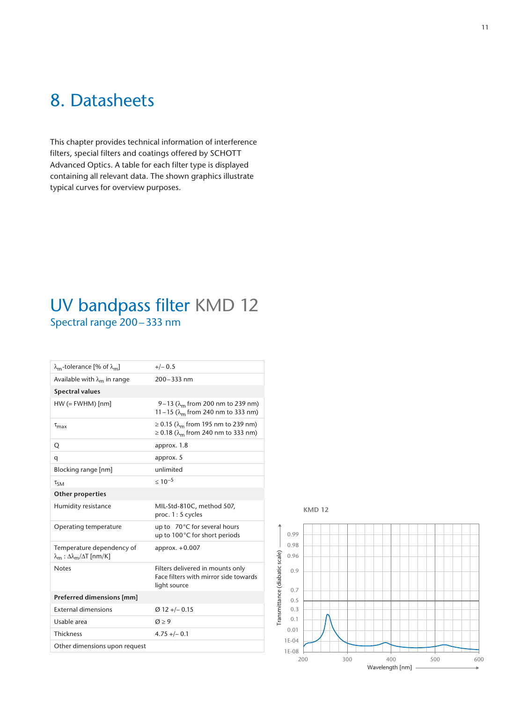## 8. Datasheets

This chapter provides technical information of interference filters, special filters and coatings offered by SCHOTT Advanced Optics. A table for each filter type is displayed containing all relevant data. The shown graphics illustrate typical curves for overview purposes.

### UV bandpass filter KMD 12 Spectral range 200–333 nm

| $\lambda_{\rm m}$ -tolerance [% of $\lambda_{\rm m}$ ]                                    | $+/- 0.5$                                                                                             |
|-------------------------------------------------------------------------------------------|-------------------------------------------------------------------------------------------------------|
| Available with $\lambda_{m}$ in range                                                     | $200 - 333$ nm                                                                                        |
| <b>Spectral values</b>                                                                    |                                                                                                       |
| $HW (= FWHM)$ [nm]                                                                        | 9–13 ( $\lambda_{\rm m}$ from 200 nm to 239 nm)<br>11 – 15 ( $\lambda_{\rm m}$ from 240 nm to 333 nm) |
| $\tau_{\rm max}$                                                                          | ≥ 0.15 (λ <sub>m</sub> from 195 nm to 239 nm)<br>≥ 0.18 (λ <sub>m</sub> from 240 nm to 333 nm)        |
| Q                                                                                         | approx. 1.8                                                                                           |
| q                                                                                         | approx. 5                                                                                             |
| Blocking range [nm]                                                                       | unlimited                                                                                             |
| $\tau_{SM}$                                                                               | $\leq 10^{-5}$                                                                                        |
| Other properties                                                                          |                                                                                                       |
| Humidity resistance                                                                       | MIL-Std-810C, method 507,<br>proc. 1: 5 cycles                                                        |
| Operating temperature                                                                     | up to 70°C for several hours<br>up to 100°C for short periods                                         |
| Temperature dependency of<br>$\lambda_{\rm m}$ : $\Delta \lambda_{\rm m}/\Delta T$ [nm/K] | approx. $+0.007$                                                                                      |
| <b>Notes</b>                                                                              | Filters delivered in mounts only<br>Face filters with mirror side towards<br>light source             |
| Preferred dimensions [mm]                                                                 |                                                                                                       |
| <b>External dimensions</b>                                                                | $Ø$ 12 +/- 0.15                                                                                       |
| Usable area                                                                               | $\varnothing$ > 9                                                                                     |
| <b>Thickness</b>                                                                          | $4.75 + (-0.1)$                                                                                       |
| Other dimensions upon request                                                             |                                                                                                       |
|                                                                                           |                                                                                                       |



**KMD 12**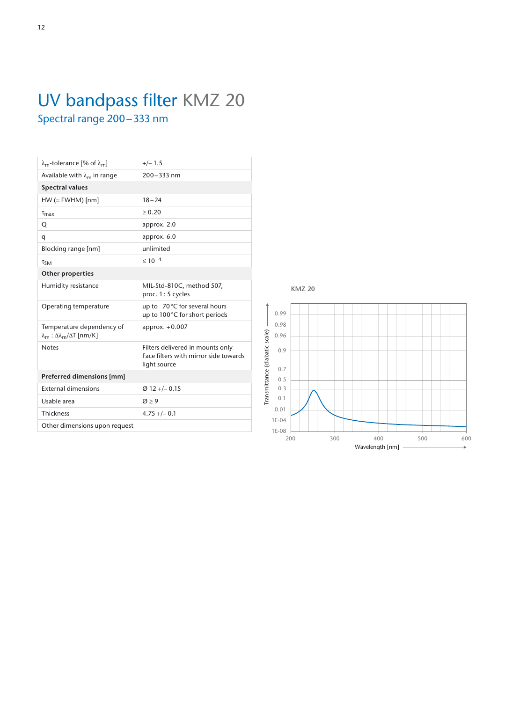## UV bandpass filter KMZ 20 Spectral range 200–333 nm

| $\lambda_{\rm m}$ -tolerance [% of $\lambda_{\rm m}$ ]                               | $+/-1.5$                                                                                  |
|--------------------------------------------------------------------------------------|-------------------------------------------------------------------------------------------|
| Available with $\lambda_{m}$ in range                                                | 200-333 nm                                                                                |
| <b>Spectral values</b>                                                               |                                                                                           |
| $HW (= FWHM)$ [nm]                                                                   | $18 - 24$                                                                                 |
| $\tau_{\text{max}}$                                                                  | > 0.20                                                                                    |
| Q                                                                                    | approx. 2.0                                                                               |
| q                                                                                    | approx. 6.0                                                                               |
| Blocking range [nm]                                                                  | unlimited                                                                                 |
| $\tau_{SM}$                                                                          | $< 10^{-4}$                                                                               |
| <b>Other properties</b>                                                              |                                                                                           |
| Humidity resistance                                                                  | MIL-Std-810C, method 507,<br>proc. 1:5 cycles                                             |
| Operating temperature                                                                | up to 70°C for several hours<br>up to 100°C for short periods                             |
| Temperature dependency of<br>$\lambda_{\rm m}$ : Δ $\lambda_{\rm m}/\Delta$ T [nm/K] | approx. $+0.007$                                                                          |
| <b>Notes</b>                                                                         | Filters delivered in mounts only<br>Face filters with mirror side towards<br>light source |
| Preferred dimensions [mm]                                                            |                                                                                           |
| <b>External dimensions</b>                                                           | $Ø$ 12 +/- 0.15                                                                           |
| Usable area                                                                          | $\varnothing$ > 9                                                                         |
| <b>Thickness</b>                                                                     | $4.75 +/- 0.1$                                                                            |
| Other dimensions upon request                                                        |                                                                                           |
|                                                                                      |                                                                                           |

**KMZ 20**

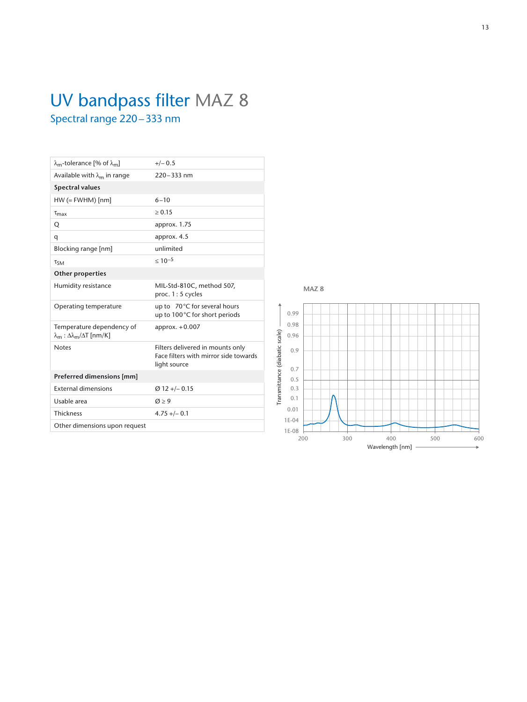## UV bandpass filter MAZ 8 Spectral range 220–333 nm

| $\lambda_{\rm m}$ -tolerance [% of $\lambda_{\rm m}$ ]                                    | $+/- 0.5$                                                                                 |  |  |
|-------------------------------------------------------------------------------------------|-------------------------------------------------------------------------------------------|--|--|
| Available with $\lambda_{m}$ in range                                                     | $220 - 333$ nm                                                                            |  |  |
| <b>Spectral values</b>                                                                    |                                                                                           |  |  |
| $HW (= FWHM)$ [nm]                                                                        | $6 - 10$                                                                                  |  |  |
| $\tau_{\text{max}}$                                                                       | > 0.15                                                                                    |  |  |
| Q                                                                                         | approx. 1.75                                                                              |  |  |
| q                                                                                         | approx. 4.5                                                                               |  |  |
| Blocking range [nm]                                                                       | unlimited                                                                                 |  |  |
| $\tau_{SM}$                                                                               | $< 10^{-5}$                                                                               |  |  |
| <b>Other properties</b>                                                                   |                                                                                           |  |  |
| Humidity resistance                                                                       | MIL-Std-810C, method 507,<br>proc. 1: 5 cycles                                            |  |  |
| Operating temperature                                                                     | up to 70°C for several hours<br>up to 100°C for short periods                             |  |  |
| Temperature dependency of<br>$\lambda_{\rm m}$ : $\Delta \lambda_{\rm m}/\Delta T$ [nm/K] | approx. $+0.007$                                                                          |  |  |
| <b>Notes</b>                                                                              | Filters delivered in mounts only<br>Face filters with mirror side towards<br>light source |  |  |
| Preferred dimensions [mm]                                                                 |                                                                                           |  |  |
| <b>External dimensions</b>                                                                | $Ø$ 12 +/- 0.15                                                                           |  |  |
| Usable area                                                                               | $\varnothing$ > 9                                                                         |  |  |
| <b>Thickness</b>                                                                          | $4.75 + (-0.1)$                                                                           |  |  |
| Other dimensions upon request                                                             |                                                                                           |  |  |
|                                                                                           |                                                                                           |  |  |



200 300 400 500 600

Wavelength [nm]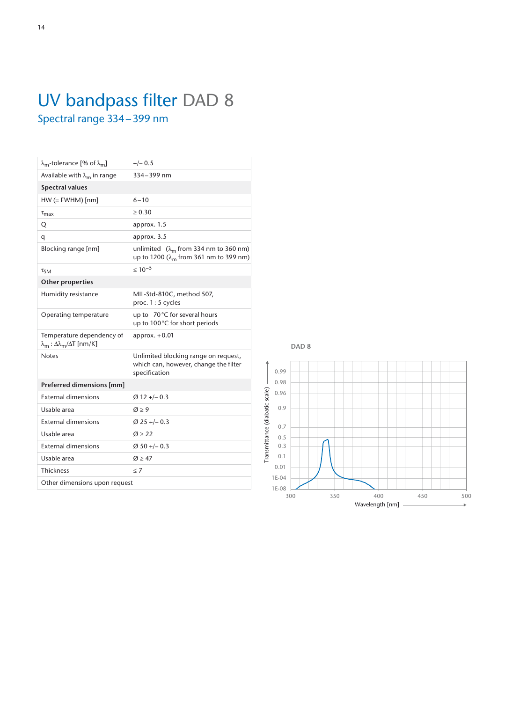| $\lambda_{\rm m}$ -tolerance [% of $\lambda_{\rm m}$ ] | $+/- 0.5$                                                                                          |
|--------------------------------------------------------|----------------------------------------------------------------------------------------------------|
| Available with $\lambda_{m}$ in range                  | 334-399 nm                                                                                         |
| <b>Spectral values</b>                                 |                                                                                                    |
| $HW (= FWHM)$ [nm]                                     | $6 - 10$                                                                                           |
| $\tau_{\text{max}}$                                    | > 0.30                                                                                             |
| Q                                                      | approx. 1.5                                                                                        |
| q                                                      | approx. 3.5                                                                                        |
| Blocking range [nm]                                    | unlimited $(\lambda_m$ from 334 nm to 360 nm)<br>up to 1200 (λ <sub>m</sub> from 361 nm to 399 nm) |
| $\tau_{SM}$                                            | $< 10^{-5}$                                                                                        |
| Other properties                                       |                                                                                                    |
| Humidity resistance                                    | MIL-Std-810C, method 507,<br>proc. 1:5 cycles                                                      |
| Operating temperature                                  | up to 70°C for several hours<br>up to 100°C for short periods                                      |
| Temperature dependency of<br>$λm : Δλm/ΔT [nm/K]$      | approx. $+0.01$                                                                                    |
| <b>Notes</b>                                           | Unlimited blocking range on request,<br>which can, however, change the filter<br>specification     |
| Preferred dimensions [mm]                              |                                                                                                    |
| <b>External dimensions</b>                             | $Ø12 + -0.3$                                                                                       |
| Usable area                                            | $\varnothing$ > 9                                                                                  |
| <b>External dimensions</b>                             | $Ø 25 + -0.3$                                                                                      |
| Usable area                                            | Q > 22                                                                                             |
| <b>External dimensions</b>                             | $Ø$ 50 +/- 0.3                                                                                     |
| Usable area                                            | $\varnothing$ > 47                                                                                 |
| <b>Thickness</b>                                       | < 7                                                                                                |
| Other dimensions upon request                          |                                                                                                    |
|                                                        |                                                                                                    |

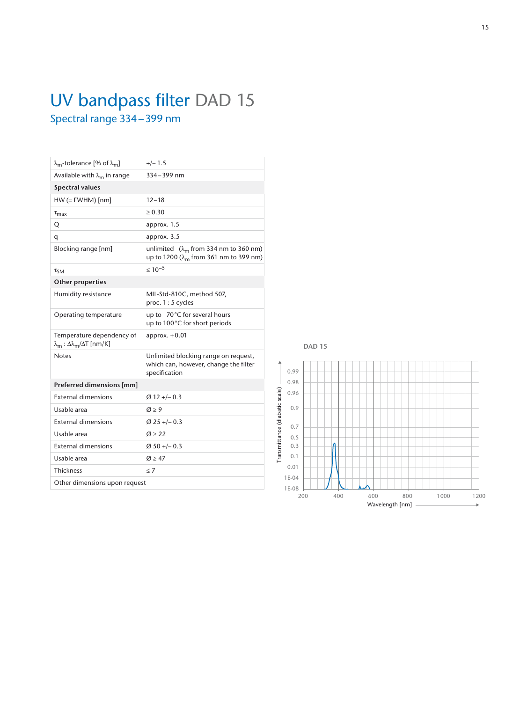## UV bandpass filter DAD 15 Spectral range 334–399 nm

| $\lambda_{\rm m}$ -tolerance [% of $\lambda_{\rm m}$ ]                                    | $+/- 1.5$                                                                                          |
|-------------------------------------------------------------------------------------------|----------------------------------------------------------------------------------------------------|
| Available with $\lambda_m$ in range                                                       | 334-399 nm                                                                                         |
| <b>Spectral values</b>                                                                    |                                                                                                    |
| $HW (= FWHM)$ [nm]                                                                        | $12 - 18$                                                                                          |
| $\tau_{\text{max}}$                                                                       | $\geq 0.30$                                                                                        |
| Q                                                                                         | approx. 1.5                                                                                        |
| q                                                                                         | approx. 3.5                                                                                        |
| Blocking range [nm]                                                                       | unlimited $(\lambda_m$ from 334 nm to 360 nm)<br>up to 1200 (λ <sub>m</sub> from 361 nm to 399 nm) |
| $\tau_{SM}$                                                                               | $< 10^{-5}$                                                                                        |
| Other properties                                                                          |                                                                                                    |
| Humidity resistance                                                                       | MIL-Std-810C, method 507,<br>proc. 1:5 cycles                                                      |
| Operating temperature                                                                     | up to 70°C for several hours<br>up to 100°C for short periods                                      |
| Temperature dependency of<br>$\lambda_{\rm m}$ : $\Delta \lambda_{\rm m}/\Delta T$ [nm/K] | approx. $+0.01$                                                                                    |
| <b>Notes</b>                                                                              | Unlimited blocking range on request,<br>which can, however, change the filter<br>specification     |
| Preferred dimensions [mm]                                                                 |                                                                                                    |
| <b>External dimensions</b>                                                                | $Ø12 + -0.3$                                                                                       |
| Usable area                                                                               | $\varnothing \geq 9$                                                                               |
| <b>External dimensions</b>                                                                | $Ø$ 25 +/- 0.3                                                                                     |
| Usable area                                                                               | Q > 22                                                                                             |
| <b>External dimensions</b>                                                                | $Ø$ 50 +/- 0.3                                                                                     |
| Usable area                                                                               | $\varnothing$ > 47                                                                                 |
| <b>Thickness</b>                                                                          | < 7                                                                                                |
| Other dimensions upon request                                                             |                                                                                                    |
|                                                                                           |                                                                                                    |



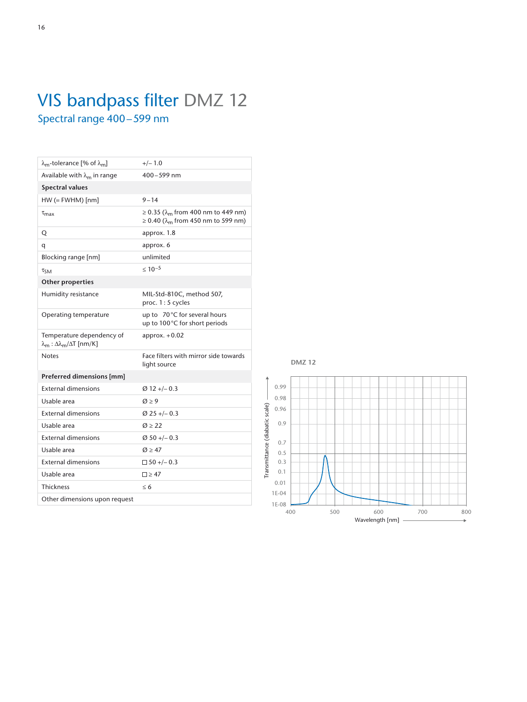# VIS bandpass filter DMZ 12 Spectral range 400–599 nm

| $\lambda_{\rm m}$ -tolerance [% of $\lambda_{\rm m}$ ]                                   | $+/- 1.0$                                                                                      |
|------------------------------------------------------------------------------------------|------------------------------------------------------------------------------------------------|
| Available with $\lambda_{m}$ in range                                                    | 400-599 nm                                                                                     |
| <b>Spectral values</b>                                                                   |                                                                                                |
| $HW (= FWHM)$ [nm]                                                                       | $9 - 14$                                                                                       |
| $\tau_{\rm max}$                                                                         | ≥ 0.35 (λ <sub>m</sub> from 400 nm to 449 nm)<br>≥ 0.40 (λ <sub>m</sub> from 450 nm to 599 nm) |
| Q                                                                                        | approx. 1.8                                                                                    |
| q                                                                                        | approx. 6                                                                                      |
| Blocking range [nm]                                                                      | unlimited                                                                                      |
| $\tau_{SM}$                                                                              | $< 10^{-5}$                                                                                    |
| <b>Other properties</b>                                                                  |                                                                                                |
| Humidity resistance                                                                      | MIL-Std-810C, method 507,<br>proc. 1:5 cycles                                                  |
| Operating temperature                                                                    | up to 70°C for several hours<br>up to 100°C for short periods                                  |
| Temperature dependency of<br>$\lambda_{\rm m}$ : $\Delta\lambda_{\rm m}/\Delta T$ [nm/K] | approx. $+0.02$                                                                                |
| <b>Notes</b>                                                                             | Face filters with mirror side towards<br>light source                                          |
| Preferred dimensions [mm]                                                                |                                                                                                |
| <b>External dimensions</b>                                                               | $\varnothing$ 12 +/- 0.3                                                                       |
| Usable area                                                                              | $\varnothing$ > 9                                                                              |
| <b>External dimensions</b>                                                               | $Ø$ 25 +/-0.3                                                                                  |
| Usable area                                                                              | $\varnothing$ > 22                                                                             |
| <b>External dimensions</b>                                                               | $Ø$ 50 +/- 0.3                                                                                 |
| Usable area                                                                              | $\varnothing$ > 47                                                                             |
| <b>External dimensions</b>                                                               | $\Box$ 50 +/- 0.3                                                                              |
| Usable area                                                                              | $\square$ > 47                                                                                 |
| <b>Thickness</b>                                                                         | < 6                                                                                            |
| Other dimensions upon request                                                            |                                                                                                |
|                                                                                          |                                                                                                |

**DMZ 12**

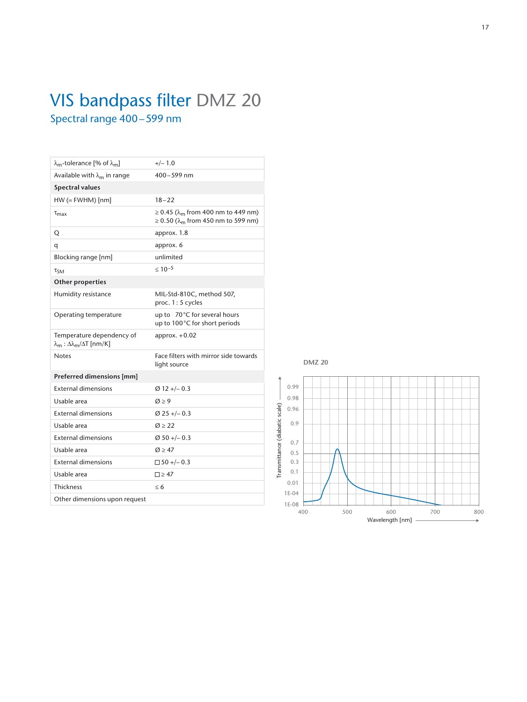## VIS bandpass filter DMZ 20 Spectral range 400–599 nm

| $\lambda_{\rm m}$ -tolerance [% of $\lambda_{\rm m}$ ]                                    | $+/- 1.0$                                                                                        |
|-------------------------------------------------------------------------------------------|--------------------------------------------------------------------------------------------------|
| Available with $\lambda_m$ in range                                                       | 400-599 nm                                                                                       |
| <b>Spectral values</b>                                                                    |                                                                                                  |
| $HW (= FWHM)$ [nm]                                                                        | $18 - 22$                                                                                        |
| $\tau_{\rm max}$                                                                          | ≥ 0.45 (λ <sub>m</sub> from 400 nm to 449 nm)<br>$≥$ 0.50 (λ <sub>m</sub> from 450 nm to 599 nm) |
| Q                                                                                         | approx. 1.8                                                                                      |
| q                                                                                         | approx. 6                                                                                        |
| Blocking range [nm]                                                                       | unlimited                                                                                        |
| $\tau_{SM}$                                                                               | $\leq 10^{-5}$                                                                                   |
| <b>Other properties</b>                                                                   |                                                                                                  |
| Humidity resistance                                                                       | MIL-Std-810C, method 507,<br>proc. 1:5 cycles                                                    |
| Operating temperature                                                                     | up to 70°C for several hours<br>up to 100°C for short periods                                    |
| Temperature dependency of<br>$\lambda_{\rm m}$ : $\Delta \lambda_{\rm m}/\Delta T$ [nm/K] | approx. $+0.02$                                                                                  |
| <b>Notes</b>                                                                              | Face filters with mirror side towards<br>light source                                            |
| Preferred dimensions [mm]                                                                 |                                                                                                  |
| <b>External dimensions</b>                                                                | $Ø12+/-0.3$                                                                                      |
| Usable area                                                                               | $\varnothing$ > 9                                                                                |
| <b>External dimensions</b>                                                                | $\varnothing$ 25 +/- 0.3                                                                         |
| Usable area                                                                               | $\varnothing \geq 22$                                                                            |
| <b>External dimensions</b>                                                                | $\varnothing$ 50 +/-0.3                                                                          |
| Usable area                                                                               | $\varnothing$ > 47                                                                               |
| <b>External dimensions</b>                                                                | $\Box$ 50 +/- 0.3                                                                                |
| Usable area                                                                               | $\square$ > 47                                                                                   |
| <b>Thickness</b>                                                                          | $\leq 6$                                                                                         |
|                                                                                           |                                                                                                  |

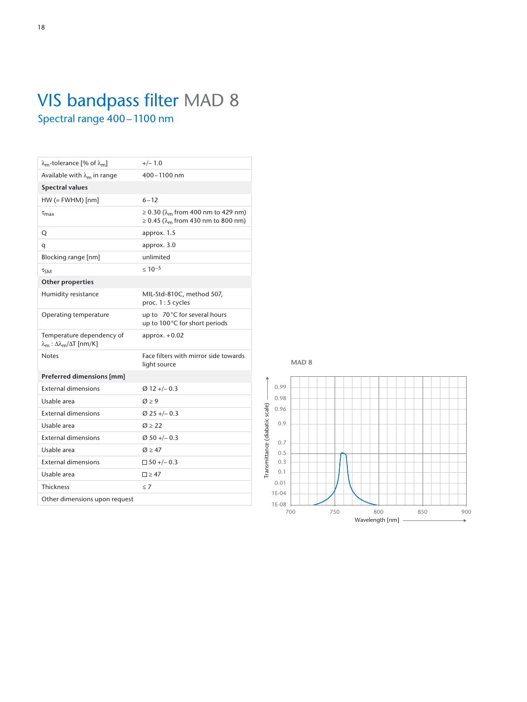## VIS bandpass filter MAD 8 Spectral range 400–1100 nm

| $\lambda_{\rm m}$ -tolerance [% of $\lambda_{\rm m}$ ]                                   | $+/- 1.0$                                                                                               |
|------------------------------------------------------------------------------------------|---------------------------------------------------------------------------------------------------------|
| Available with $\lambda_{m}$ in range                                                    | $400 - 1100$ nm                                                                                         |
| <b>Spectral values</b>                                                                   |                                                                                                         |
| $HW (= FWHM)$ [nm]                                                                       | $6 - 12$                                                                                                |
| $\tau_{\rm max}$                                                                         | ≥ 0.30 ( $\lambda$ <sub>m</sub> from 400 nm to 429 nm)<br>≥ 0.45 (λ <sub>m</sub> from 430 nm to 800 nm) |
| Q                                                                                        | approx. 1.5                                                                                             |
| q                                                                                        | approx. 3.0                                                                                             |
| Blocking range [nm]                                                                      | unlimited                                                                                               |
| $\tau_{SM}$                                                                              | $< 10^{-5}$                                                                                             |
| <b>Other properties</b>                                                                  |                                                                                                         |
| Humidity resistance                                                                      | MIL-Std-810C, method 507,<br>proc. 1:5 cycles                                                           |
| Operating temperature                                                                    | up to 70°C for several hours<br>up to 100°C for short periods                                           |
| Temperature dependency of<br>$\lambda_{\rm m}$ : $\Delta\lambda_{\rm m}/\Delta T$ [nm/K] | approx. $+0.02$                                                                                         |
| <b>Notes</b>                                                                             | Face filters with mirror side towards<br>light source                                                   |
| Preferred dimensions [mm]                                                                |                                                                                                         |
| <b>External dimensions</b>                                                               | $\varnothing$ 12 +/- 0.3                                                                                |
| Usable area                                                                              | $\varnothing \geq 9$                                                                                    |
| <b>External dimensions</b>                                                               | $Ø$ 25 +/-0.3                                                                                           |
| Usable area                                                                              | $\varnothing$ > 22                                                                                      |
| <b>External dimensions</b>                                                               | $Ø$ 50 +/- 0.3                                                                                          |
| Usable area                                                                              | $\varnothing$ > 47                                                                                      |
| <b>External dimensions</b>                                                               | $\Box$ 50 +/- 0.3                                                                                       |
| Usable area                                                                              | $\square$ > 47                                                                                          |
| <b>Thickness</b>                                                                         | < 7                                                                                                     |
| Other dimensions upon request                                                            |                                                                                                         |
|                                                                                          |                                                                                                         |

**MAD 8**

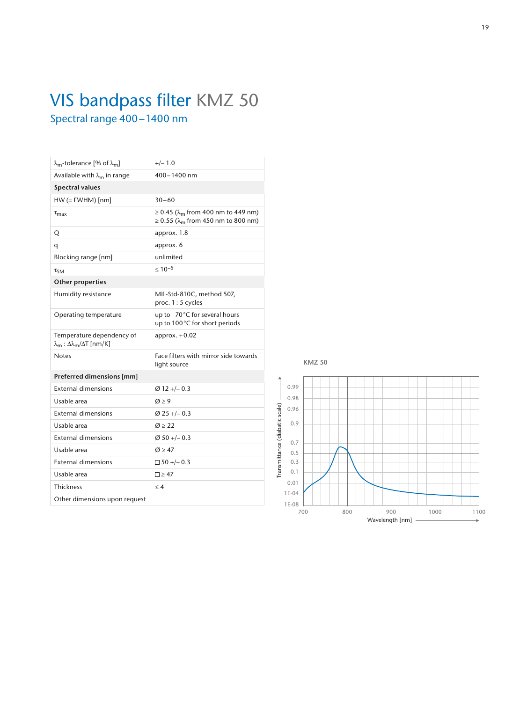# VIS bandpass filter KMZ 50 Spectral range 400–1400 nm

| $\lambda_{\rm m}$ -tolerance [% of $\lambda_{\rm m}$ ]                                    | $+/- 1.0$                                                                                                    |
|-------------------------------------------------------------------------------------------|--------------------------------------------------------------------------------------------------------------|
| Available with $\lambda_m$ in range                                                       | $400 - 1400$ nm                                                                                              |
| <b>Spectral values</b>                                                                    |                                                                                                              |
| $HW (= FWHM)$ [nm]                                                                        | $30 - 60$                                                                                                    |
| $\tau_{\text{max}}$                                                                       | ≥ 0.45 (λ <sub>m</sub> from 400 nm to 449 nm)<br>$\geq 0.55$ ( $\lambda$ <sub>m</sub> from 450 nm to 800 nm) |
| Q                                                                                         | approx. 1.8                                                                                                  |
| q                                                                                         | approx. 6                                                                                                    |
| Blocking range [nm]                                                                       | unlimited                                                                                                    |
| $\tau_{SM}$                                                                               | $< 10^{-5}$                                                                                                  |
| <b>Other properties</b>                                                                   |                                                                                                              |
| Humidity resistance                                                                       | MIL-Std-810C, method 507,<br>proc. 1:5 cycles                                                                |
| Operating temperature                                                                     | up to 70°C for several hours<br>up to 100°C for short periods                                                |
| Temperature dependency of<br>$\lambda_{\rm m}$ : $\Delta \lambda_{\rm m}/\Delta T$ [nm/K] | approx. $+0.02$                                                                                              |
| <b>Notes</b>                                                                              | Face filters with mirror side towards<br>light source                                                        |
| Preferred dimensions [mm]                                                                 |                                                                                                              |
| <b>External dimensions</b>                                                                | $Ø12+/-0.3$                                                                                                  |
| Usable area                                                                               | $\varnothing$ > 9                                                                                            |
| <b>External dimensions</b>                                                                | $Ø$ 25 +/-0.3                                                                                                |
| Usable area                                                                               | $\varnothing$ > 22                                                                                           |
| <b>External dimensions</b>                                                                | $Ø 50 + -0.3$                                                                                                |
| Usable area                                                                               | $\varnothing$ > 47                                                                                           |
| <b>External dimensions</b>                                                                | $\Box$ 50 +/- 0.3                                                                                            |
| Usable area                                                                               | $\square$ > 47                                                                                               |
| <b>Thickness</b>                                                                          | < 4                                                                                                          |
| Other dimensions upon request                                                             |                                                                                                              |
|                                                                                           |                                                                                                              |

0.99 0.98 Transmittance (diabatic scale) Transmittance (diabatic scale) 0.96 0.9 0.7 0.5 0.3 0.1 0.01 1E-04  $1E-08$   $700$ 700 800 900 1000 1100 Wavelength [nm]

**KMZ 50**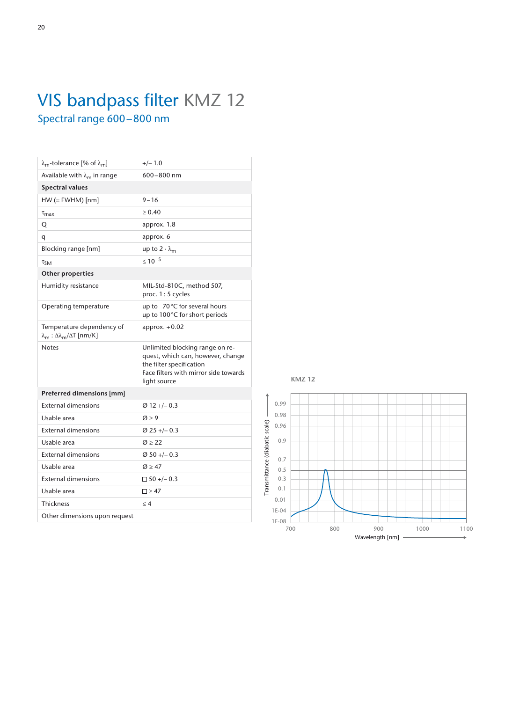# VIS bandpass filter KMZ 12 Spectral range 600–800 nm

| $\lambda_{\rm m}$ -tolerance [% of $\lambda_{\rm m}$ ]                               | $+/- 1.0$                                                                                                                                                 |
|--------------------------------------------------------------------------------------|-----------------------------------------------------------------------------------------------------------------------------------------------------------|
| Available with $\lambda_{m}$ in range                                                | 600-800 nm                                                                                                                                                |
| <b>Spectral values</b>                                                               |                                                                                                                                                           |
| $HW (= FWHM)$ [nm]                                                                   | $9 - 16$                                                                                                                                                  |
| $\tau_{\text{max}}$                                                                  | > 0.40                                                                                                                                                    |
| Q                                                                                    | approx. 1.8                                                                                                                                               |
| q                                                                                    | approx. 6                                                                                                                                                 |
| Blocking range [nm]                                                                  | up to $2 \cdot \lambda_{\rm m}$                                                                                                                           |
| $\tau_{SM}$                                                                          | $< 10^{-5}$                                                                                                                                               |
| <b>Other properties</b>                                                              |                                                                                                                                                           |
| Humidity resistance                                                                  | MIL-Std-810C, method 507,<br>proc. 1:5 cycles                                                                                                             |
| Operating temperature                                                                | up to $70^{\circ}$ C for several hours<br>up to 100°C for short periods                                                                                   |
| Temperature dependency of<br>$\lambda_{\rm m}$ : Δ $\lambda_{\rm m}/\Delta$ T [nm/K] | $approx. +0.02$                                                                                                                                           |
| <b>Notes</b>                                                                         | Unlimited blocking range on re-<br>quest, which can, however, change<br>the filter specification<br>Face filters with mirror side towards<br>light source |
| Preferred dimensions [mm]                                                            |                                                                                                                                                           |
| <b>External dimensions</b>                                                           | $Ø12 + -0.3$                                                                                                                                              |
| Usable area                                                                          | $\varnothing$ > 9                                                                                                                                         |
| <b>External dimensions</b>                                                           | $Ø$ 25 +/- 0.3                                                                                                                                            |
| Usable area                                                                          | $\varnothing$ $\geq$ 22                                                                                                                                   |
| <b>External dimensions</b>                                                           | $\varnothing$ 50 +/- 0.3                                                                                                                                  |
| Usable area                                                                          | $\varnothing$ > 47                                                                                                                                        |
| <b>External dimensions</b>                                                           | $\Box$ 50 +/- 0.3                                                                                                                                         |
| Usable area                                                                          | $\square \geq 47$                                                                                                                                         |
| <b>Thickness</b>                                                                     | < 4                                                                                                                                                       |
| Other dimensions upon request                                                        |                                                                                                                                                           |
|                                                                                      |                                                                                                                                                           |



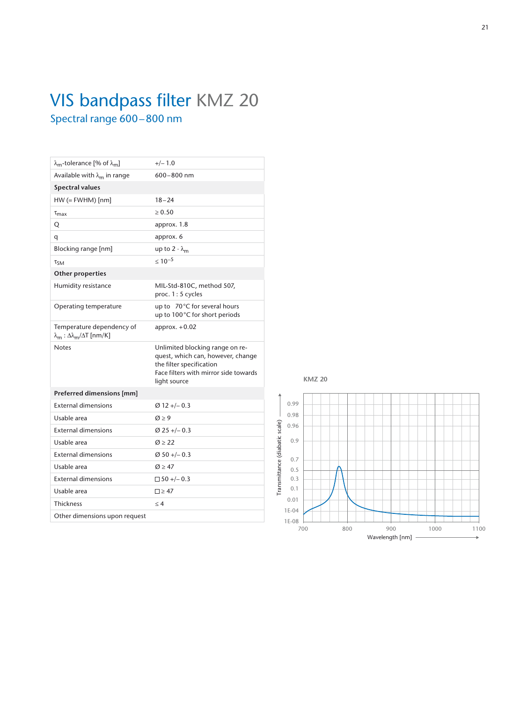## VIS bandpass filter KMZ 20 Spectral range 600–800 nm

| $\lambda_{\rm m}$ -tolerance [% of $\lambda_{\rm m}$ ] | $+/- 1.0$                                                                                                                                                 |
|--------------------------------------------------------|-----------------------------------------------------------------------------------------------------------------------------------------------------------|
| Available with $\lambda_{m}$ in range                  | $600 - 800$ nm                                                                                                                                            |
| <b>Spectral values</b>                                 |                                                                                                                                                           |
| $HW (= FWHM)$ [nm]                                     | $18 - 24$                                                                                                                                                 |
| $\tau_{\text{max}}$                                    | > 0.50                                                                                                                                                    |
| Q                                                      | approx. 1.8                                                                                                                                               |
| q                                                      | approx. 6                                                                                                                                                 |
| Blocking range [nm]                                    | up to $2 \cdot \lambda_m$                                                                                                                                 |
| $\tau_{\text{SM}}$                                     | $< 10^{-5}$                                                                                                                                               |
| <b>Other properties</b>                                |                                                                                                                                                           |
| Humidity resistance                                    | MIL-Std-810C, method 507,<br>proc. 1:5 cycles                                                                                                             |
| Operating temperature                                  | up to $70^{\circ}$ C for several hours<br>up to 100°C for short periods                                                                                   |
| Temperature dependency of                              | approx. $+0.02$                                                                                                                                           |
| $λm : Δλm/ΔT [nm/K]$                                   |                                                                                                                                                           |
| <b>Notes</b>                                           | Unlimited blocking range on re-<br>quest, which can, however, change<br>the filter specification<br>Face filters with mirror side towards<br>light source |
| Preferred dimensions [mm]                              |                                                                                                                                                           |
| <b>External dimensions</b>                             | $Ø12 + -0.3$                                                                                                                                              |
| Usable area                                            | $\varnothing$ > 9                                                                                                                                         |
| <b>External dimensions</b>                             | $\varnothing$ 25 +/- 0.3                                                                                                                                  |
| Usable area                                            | Q > 22                                                                                                                                                    |
| <b>External dimensions</b>                             | $\varnothing$ 50 +/- 0.3                                                                                                                                  |
| Usable area                                            | $\varnothing$ > 47                                                                                                                                        |
| <b>External dimensions</b>                             | $\Box$ 50 +/- 0.3                                                                                                                                         |
| Usable area                                            | $\square$ > 47                                                                                                                                            |
| <b>Thickness</b>                                       | < 4                                                                                                                                                       |

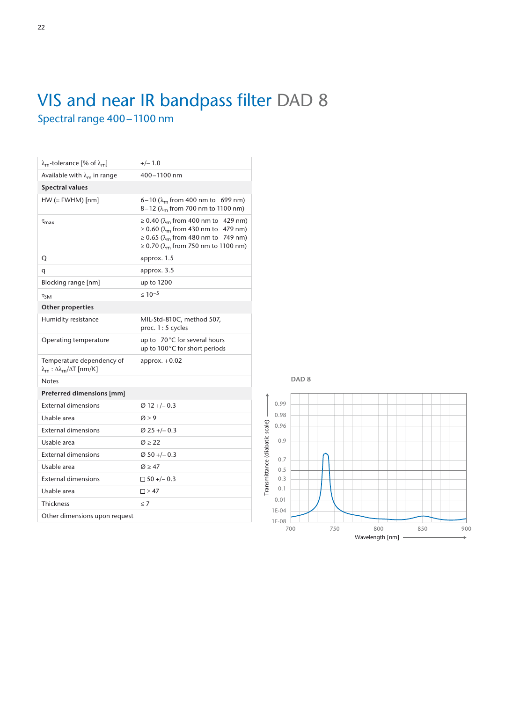## VIS and near IR bandpass filter DAD 8 Spectral range 400–1100 nm

| $\lambda_{\rm m}$ -tolerance [% of $\lambda_{\rm m}$ ]                                    | $+/- 1.0$                                                                                                                                                                                                  |
|-------------------------------------------------------------------------------------------|------------------------------------------------------------------------------------------------------------------------------------------------------------------------------------------------------------|
| Available with $\lambda_{m}$ in range                                                     | 400-1100 nm                                                                                                                                                                                                |
| <b>Spectral values</b>                                                                    |                                                                                                                                                                                                            |
| $HW (= FWHM)$ [nm]                                                                        | 6-10 ( $\lambda_{\rm m}$ from 400 nm to 699 nm)<br>$8-12$ ( $\lambda_{\rm m}$ from 700 nm to 1100 nm)                                                                                                      |
| $\tau_{\text{max}}$                                                                       | ≥ 0.40 (λ <sub>m</sub> from 400 nm to 429 nm)<br>≥ 0.60 (λ <sub>m</sub> from 430 nm to 479 nm)<br>≥ 0.65 ( $\lambda$ <sub>m</sub> from 480 nm to 749 nm)<br>≥ 0.70 (λ <sub>m</sub> from 750 nm to 1100 nm) |
| Q                                                                                         | approx. 1.5                                                                                                                                                                                                |
| q                                                                                         | approx. 3.5                                                                                                                                                                                                |
| Blocking range [nm]                                                                       | up to 1200                                                                                                                                                                                                 |
| $\tau_{SM}$                                                                               | $\leq 10^{-5}$                                                                                                                                                                                             |
| <b>Other properties</b>                                                                   |                                                                                                                                                                                                            |
| Humidity resistance                                                                       | MIL-Std-810C, method 507,<br>proc. 1: 5 cycles                                                                                                                                                             |
| Operating temperature                                                                     | up to 70°C for several hours<br>up to 100°C for short periods                                                                                                                                              |
| Temperature dependency of<br>$\lambda_{\rm m}$ : $\Delta \lambda_{\rm m}/\Delta T$ [nm/K] | approx. $+0.02$                                                                                                                                                                                            |
| <b>Notes</b>                                                                              |                                                                                                                                                                                                            |
| Preferred dimensions [mm]                                                                 |                                                                                                                                                                                                            |
| <b>External dimensions</b>                                                                | $\varnothing$ 12 +/- 0.3                                                                                                                                                                                   |
| Usable area                                                                               | $\varnothing$ > 9                                                                                                                                                                                          |
| <b>External dimensions</b>                                                                | $\varnothing$ 25 +/- 0.3                                                                                                                                                                                   |
| Usable area                                                                               | $\varnothing \geq 22$                                                                                                                                                                                      |
| <b>External dimensions</b>                                                                | $\varnothing$ 50 +/- 0.3                                                                                                                                                                                   |
| Usable area                                                                               | $\varnothing \geq 47$                                                                                                                                                                                      |
| <b>External dimensions</b>                                                                | $\Box$ 50 +/- 0.3                                                                                                                                                                                          |
| Usable area                                                                               | $\square \geq 47$                                                                                                                                                                                          |
| <b>Thickness</b>                                                                          | < 7                                                                                                                                                                                                        |
| Other dimensions upon request                                                             |                                                                                                                                                                                                            |
|                                                                                           |                                                                                                                                                                                                            |



#### **DAD 8**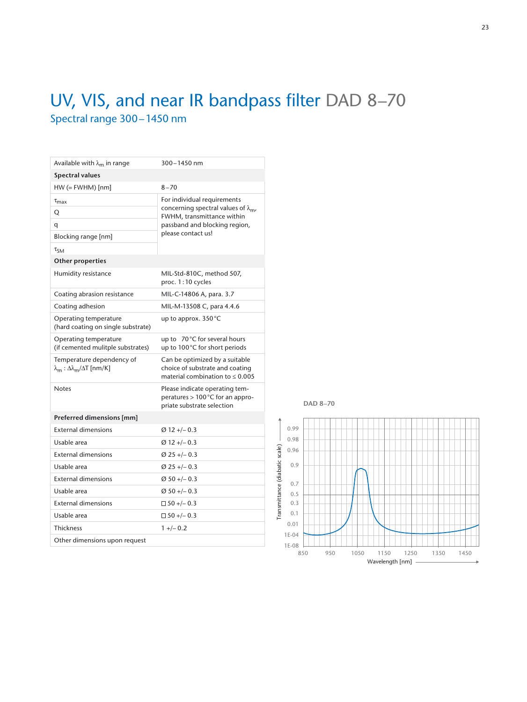## UV, VIS, and near IR bandpass filter DAD 8–70 Spectral range 300–1450 nm

| Available with $\lambda_{m}$ in range                                                     | 300-1450 nm                                                                                               |
|-------------------------------------------------------------------------------------------|-----------------------------------------------------------------------------------------------------------|
| <b>Spectral values</b>                                                                    |                                                                                                           |
| $HW (= FWHM)$ [nm]                                                                        | $8 - 70$                                                                                                  |
| $\tau_{\text{max}}$                                                                       | For individual requirements                                                                               |
| Q                                                                                         | concerning spectral values of $\lambda_{m}$ ,<br>FWHM, transmittance within                               |
| q                                                                                         | passband and blocking region,                                                                             |
| Blocking range [nm]                                                                       | please contact us!                                                                                        |
| $\tau_{SM}$                                                                               |                                                                                                           |
| <b>Other properties</b>                                                                   |                                                                                                           |
| Humidity resistance                                                                       | MIL-Std-810C, method 507,<br>proc. 1:10 cycles                                                            |
| Coating abrasion resistance                                                               | MIL-C-14806 A, para. 3.7                                                                                  |
| Coating adhesion                                                                          | MIL-M-13508 C, para 4.4.6                                                                                 |
| Operating temperature<br>(hard coating on single substrate)                               | up to approx. $350^{\circ}$ C                                                                             |
| Operating temperature<br>(if cemented mulitple substrates)                                | 70°C for several hours<br>up to<br>up to 100°C for short periods                                          |
| Temperature dependency of<br>$\lambda_{\rm m}$ : $\Delta \lambda_{\rm m}/\Delta T$ [nm/K] | Can be optimized by a suitable<br>choice of substrate and coating<br>material combination to $\leq 0.005$ |
| <b>Notes</b>                                                                              | Please indicate operating tem-<br>peratures > 100 °C for an appro-<br>priate substrate selection          |
| Preferred dimensions [mm]                                                                 |                                                                                                           |
|                                                                                           |                                                                                                           |
| <b>External dimensions</b>                                                                | $\varnothing$ 12 +/- 0.3                                                                                  |
| Usable area                                                                               | $Ø12 + -0.3$                                                                                              |
| <b>External dimensions</b>                                                                | $\varnothing$ 25 +/- 0.3                                                                                  |
| Usable area                                                                               | $\varnothing$ 25 +/- 0.3                                                                                  |
| <b>External dimensions</b>                                                                | $\varnothing$ 50 +/- 0.3                                                                                  |
| Usable area                                                                               | $\varnothing$ 50 +/- 0.3                                                                                  |
| <b>External dimensions</b>                                                                | $\Box$ 50 +/- 0.3                                                                                         |
| Usable area                                                                               | $\Box$ 50 +/- 0.3                                                                                         |
| <b>Thickness</b>                                                                          | $1 + (-0.2)$                                                                                              |



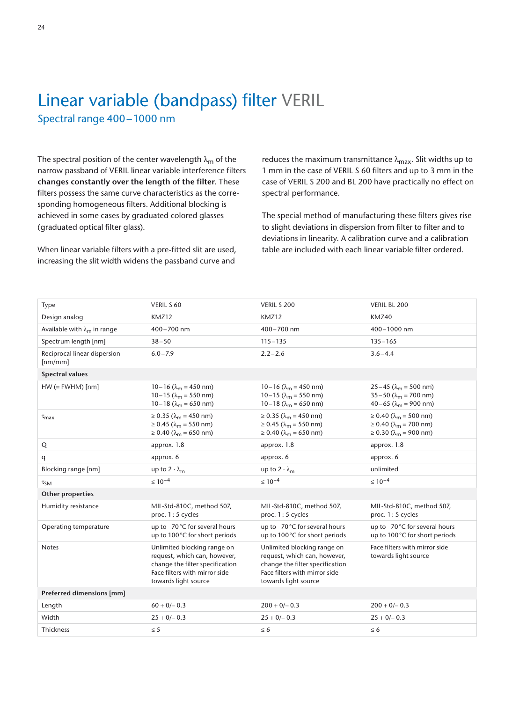## Linear variable (bandpass) filter VERIL Spectral range 400–1000 nm

The spectral position of the center wavelength  $\lambda_m$  of the narrow passband of VERIL linear variable interference filters **changes constantly over the length of the filter**. These filters possess the same curve characteristics as the corresponding homogeneous filters. Additional blocking is achieved in some cases by graduated colored glasses (graduated optical filter glass).

When linear variable filters with a pre-fitted slit are used, increasing the slit width widens the passband curve and

reduces the maximum transmittance  $\lambda_{\text{max}}$ . Slit widths up to 1 mm in the case of VERIL S 60 filters and up to 3 mm in the case of VERIL S 200 and BL 200 have practically no effect on spectral performance.

The special method of manufacturing these filters gives rise to slight deviations in dispersion from filter to filter and to deviations in linearity. A calibration curve and a calibration table are included with each linear variable filter ordered.

| Type                                    | VERIL S 60                                                                                                                                              | VERIL S 200                                                                                                                                             | VERIL BL 200                                                                                                                  |
|-----------------------------------------|---------------------------------------------------------------------------------------------------------------------------------------------------------|---------------------------------------------------------------------------------------------------------------------------------------------------------|-------------------------------------------------------------------------------------------------------------------------------|
| Design analog                           | KMZ12                                                                                                                                                   | KMZ12                                                                                                                                                   | KMZ40                                                                                                                         |
| Available with $\lambda_{m}$ in range   | 400-700 nm                                                                                                                                              | 400-700 nm                                                                                                                                              | 400-1000 nm                                                                                                                   |
| Spectrum length [nm]                    | $38 - 50$                                                                                                                                               | $115 - 135$                                                                                                                                             | $135 - 165$                                                                                                                   |
| Reciprocal linear dispersion<br>[nm/mm] | $6.0 - 7.9$                                                                                                                                             | $2.2 - 2.6$                                                                                                                                             | $3.6 - 4.4$                                                                                                                   |
| <b>Spectral values</b>                  |                                                                                                                                                         |                                                                                                                                                         |                                                                                                                               |
| $HW (= FWHM)$ [nm]                      | $10-16$ ( $\lambda_m$ = 450 nm)<br>$10-15$ ( $\lambda_m = 550$ nm)<br>$10-18$ ( $\lambda_m = 650$ nm)                                                   | $10-16$ ( $\lambda_m$ = 450 nm)<br>10-15 ( $\lambda_m$ = 550 nm)<br>10–18 ( $\lambda_m$ = 650 nm)                                                       | 25 – 45 ( $\lambda_m$ = 500 nm)<br>$35-50$ ( $\lambda_m$ = 700 nm)<br>$40-65$ ( $\lambda_m = 900$ nm)                         |
| $\tau_{max}$                            | $\geq 0.35$ ( $\lambda_m = 450$ nm)<br>$\geq 0.45$ ( $\lambda_{\rm m}$ = 550 nm)<br>$\geq 0.40$ ( $\lambda_m = 650$ nm)                                 | $\geq 0.35$ ( $\lambda_m = 450$ nm)<br>$\geq$ 0.45 ( $\lambda_{\rm m}$ = 550 nm)<br>$\geq 0.40$ ( $\lambda_m = 650$ nm)                                 | $\geq 0.40$ ( $\lambda_m = 500$ nm)<br>$\geq 0.40$ ( $\lambda_{\rm m} = 700$ nm)<br>$\geq$ 0.30 ( $\lambda_{\rm m}$ = 900 nm) |
| Q                                       | approx. 1.8                                                                                                                                             | approx. 1.8                                                                                                                                             | approx. 1.8                                                                                                                   |
| q                                       | approx. 6                                                                                                                                               | approx. 6                                                                                                                                               | approx. 6                                                                                                                     |
| Blocking range [nm]                     | up to $2 \cdot \lambda_m$                                                                                                                               | up to $2 \cdot \lambda_m$                                                                                                                               | unlimited                                                                                                                     |
| $\tau_{SM}$                             | $\leq 10^{-4}$                                                                                                                                          | $\leq 10^{-4}$                                                                                                                                          | $\leq 10^{-4}$                                                                                                                |
| <b>Other properties</b>                 |                                                                                                                                                         |                                                                                                                                                         |                                                                                                                               |
| Humidity resistance                     | MIL-Std-810C, method 507,<br>proc. 1:5 cycles                                                                                                           | MIL-Std-810C, method 507,<br>proc. 1:5 cycles                                                                                                           | MIL-Std-810C, method 507,<br>proc. 1: 5 cycles                                                                                |
| Operating temperature                   | up to 70°C for several hours<br>up to 100°C for short periods                                                                                           | up to 70°C for several hours<br>up to 100°C for short periods                                                                                           | up to 70°C for several hours<br>up to 100°C for short periods                                                                 |
| <b>Notes</b>                            | Unlimited blocking range on<br>request, which can, however,<br>change the filter specification<br>Face filters with mirror side<br>towards light source | Unlimited blocking range on<br>request, which can, however,<br>change the filter specification<br>Face filters with mirror side<br>towards light source | Face filters with mirror side<br>towards light source                                                                         |
| Preferred dimensions [mm]               |                                                                                                                                                         |                                                                                                                                                         |                                                                                                                               |
| Length                                  | $60 + 0/- 0.3$                                                                                                                                          | $200 + 0/- 0.3$                                                                                                                                         | $200 + 0/- 0.3$                                                                                                               |
| Width                                   | $25 + 0/- 0.3$                                                                                                                                          | $25 + 0/- 0.3$                                                                                                                                          | $25 + 0/- 0.3$                                                                                                                |
| Thickness                               | $\leq$ 5                                                                                                                                                | $\leq 6$                                                                                                                                                | $\leq 6$                                                                                                                      |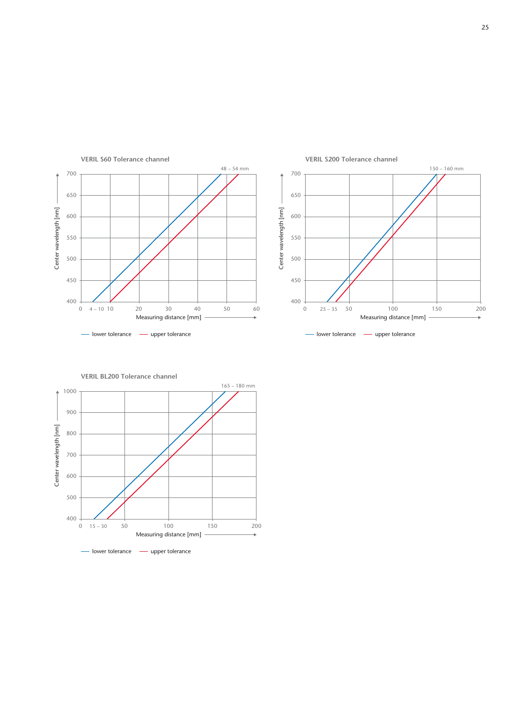



**VERIL BL200 Tolerance channel**

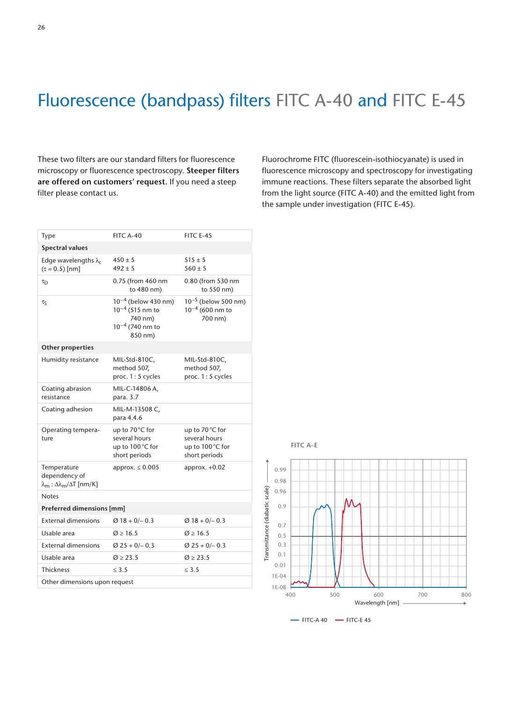## Fluorescence (bandpass) filters FITC A-40 and FITC E-45

These two filters are our standard filters for fluorescence microscopy or fluorescence spectroscopy. **Steeper filters are offered on customers' request.** If you need a steep filter please contact us.

Fluorochrome FITC (fluorescein-isothiocyanate) is used in fluorescence microscopy and spectroscopy for investigating immune reactions. These filters separate the absorbed light from the light source (FITC A-40) and the emitted light from the sample under investigation (FITC E-45).

| Type                                                                                    | FITC A-40                                                                                             | <b>FITC E-45</b>                                                     |  |
|-----------------------------------------------------------------------------------------|-------------------------------------------------------------------------------------------------------|----------------------------------------------------------------------|--|
| <b>Spectral values</b>                                                                  |                                                                                                       |                                                                      |  |
| Edge wavelengths $\lambda_c$<br>$(\tau = 0.5)$ [nm]                                     | $450 \pm 5$<br>$492 \pm 5$                                                                            | $515 \pm 5$<br>$560 \pm 5$                                           |  |
| $\tau_{\rm D}$                                                                          | 0.75 (from 460 nm<br>to 480 nm)                                                                       | 0.80 (from 530 nm<br>to 550 nm)                                      |  |
| $\tau_S$                                                                                | 10 <sup>-4</sup> (below 430 nm)<br>$10^{-4}$ (515 nm to<br>740 nm)<br>$10^{-4}$ (740 nm to<br>850 nm) | 10 <sup>-5</sup> (below 500 nm)<br>$10^{-4}$ (600 nm to<br>700 nm)   |  |
| Other properties                                                                        |                                                                                                       |                                                                      |  |
| Humidity resistance                                                                     | MIL-Std-810C,<br>method 507,<br>proc. 1:5 cycles                                                      | MIL-Std-810C,<br>method 507,<br>proc. 1:5 cycles                     |  |
| Coating abrasion<br>resistance                                                          | MIL-C-14806 A,<br>para. 3.7                                                                           |                                                                      |  |
| Coating adhesion                                                                        | MIL-M-13508 C,<br>para 4.4.6                                                                          |                                                                      |  |
| Operating tempera-<br>ture                                                              | up to 70 °C for<br>several hours<br>up to 100°C for<br>short periods                                  | up to 70 °C for<br>several hours<br>up to 100°C for<br>short periods |  |
| Temperature<br>dependency of<br>$\lambda_{\rm m}$ : Δ $\lambda_{\rm m}/\Delta$ T [nm/K] | approx. $\leq 0.005$                                                                                  | approx. $+0.02$                                                      |  |
| <b>Notes</b>                                                                            |                                                                                                       |                                                                      |  |
| Preferred dimensions [mm]                                                               |                                                                                                       |                                                                      |  |
| <b>External dimensions</b>                                                              | $Ø18 + O/- 0.3$                                                                                       | $Ø18 + O/- 0.3$                                                      |  |
| Usable area                                                                             | $\emptyset$ ≥ 16.5                                                                                    | $\emptyset$ ≥ 16.5                                                   |  |
| <b>External dimensions</b>                                                              | $\varnothing$ 25 + 0/- 0.3                                                                            | $\varnothing$ 25 + 0/- 0.3                                           |  |
| Usable area                                                                             | $\varnothing \ge 23.5$                                                                                | $\emptyset$ ≥ 23.5                                                   |  |
| <b>Thickness</b>                                                                        | < 3.5                                                                                                 | $\leq$ 3.5                                                           |  |
| Other dimensions upon request                                                           |                                                                                                       |                                                                      |  |

**FITC A–E**



- FITC-A 40 - FITC-E 45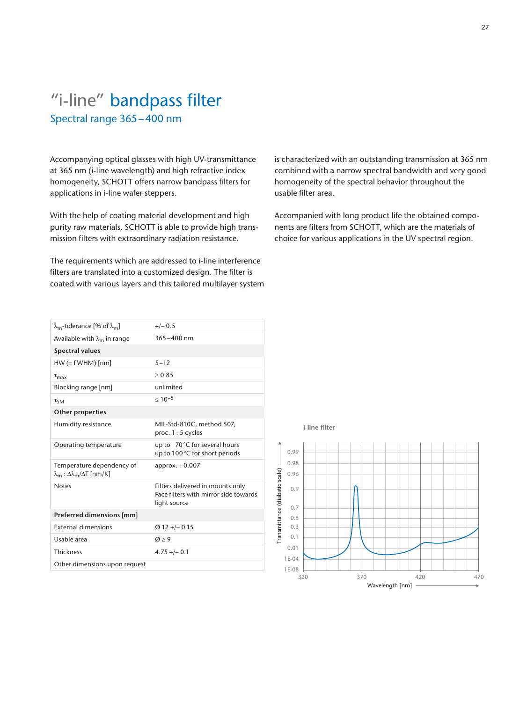## "i-line" bandpass filter Spectral range 365–400 nm

Accompanying optical glasses with high UV-transmittance at 365 nm (i-line wavelength) and high refractive index homogeneity, SCHOTT offers narrow bandpass filters for applications in i-line wafer steppers.

With the help of coating material development and high purity raw materials, SCHOTT is able to provide high transmission filters with extraordinary radiation resistance.

The requirements which are addressed to i-line interference filters are translated into a customized design. The filter is coated with various layers and this tailored multilayer system is characterized with an outstanding transmission at 365 nm combined with a narrow spectral bandwidth and very good homogeneity of the spectral behavior throughout the usable filter area.

Accompanied with long product life the obtained components are filters from SCHOTT, which are the materials of choice for various applications in the UV spectral region.

| $\lambda_{\rm m}$ -tolerance [% of $\lambda_{\rm m}$ ]                                    | $+/- 0.5$                                                                                 |
|-------------------------------------------------------------------------------------------|-------------------------------------------------------------------------------------------|
| Available with $\lambda_{m}$ in range                                                     | $365 - 400$ nm                                                                            |
| <b>Spectral values</b>                                                                    |                                                                                           |
| $HW (= FWHM)$ [nm]                                                                        | $5 - 12$                                                                                  |
| $\tau_{\text{max}}$                                                                       | $\ge 0.85$                                                                                |
| Blocking range [nm]                                                                       | unlimited                                                                                 |
| $\tau_{SM}$                                                                               | $< 10^{-5}$                                                                               |
| <b>Other properties</b>                                                                   |                                                                                           |
| Humidity resistance                                                                       | MIL-Std-810C, method 507,<br>proc. 1: 5 cycles                                            |
| Operating temperature                                                                     | up to 70°C for several hours<br>up to 100°C for short periods                             |
| Temperature dependency of<br>$\lambda_{\rm m}$ : $\Delta \lambda_{\rm m}/\Delta T$ [nm/K] | approx. $+0.007$                                                                          |
| <b>Notes</b>                                                                              | Filters delivered in mounts only<br>Face filters with mirror side towards<br>light source |
| Preferred dimensions [mm]                                                                 |                                                                                           |
| <b>External dimensions</b>                                                                | $Ø$ 12 +/- 0.15                                                                           |
| Usable area                                                                               | $\varnothing$ > 9                                                                         |
| <b>Thickness</b>                                                                          | $4.75 + (-0.1)$                                                                           |
| Other dimensions upon request                                                             |                                                                                           |

**i-line filter** 

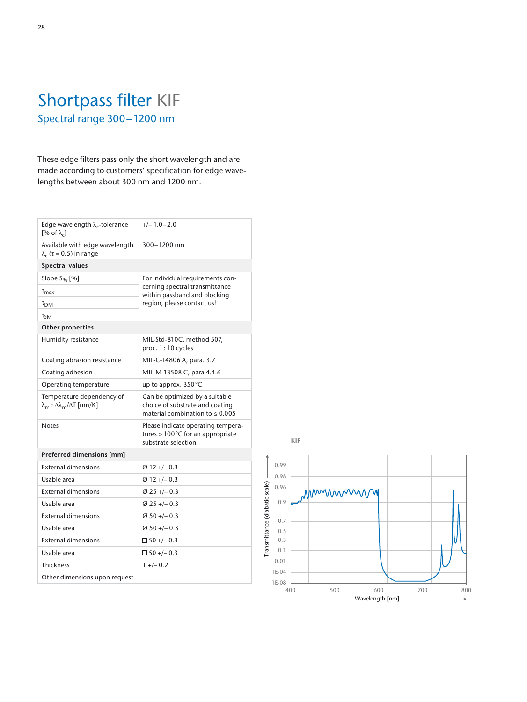## Shortpass filter KIF Spectral range 300–1200 nm

These edge filters pass only the short wavelength and are made according to customers' specification for edge wavelengths between about 300 nm and 1200 nm.

| Edge wavelength $\lambda_c$ -tolerance<br>$[% \text{ of } \lambda_c]$                | $+/- 1.0 - 2.0$                                                                                           |
|--------------------------------------------------------------------------------------|-----------------------------------------------------------------------------------------------------------|
| Available with edge wavelength<br>$\lambda_c$ ( $\tau$ = 0.5) in range               | 300-1200 nm                                                                                               |
| <b>Spectral values</b>                                                               |                                                                                                           |
| Slope $S_{\%}$ [%]                                                                   | For individual requirements con-                                                                          |
| $\tau_{\text{max}}$                                                                  | cerning spectral transmittance<br>within passband and blocking                                            |
| $\tau_{\textsf{DM}}$                                                                 | region, please contact us!                                                                                |
| $\tau_{SM}$                                                                          |                                                                                                           |
| <b>Other properties</b>                                                              |                                                                                                           |
| Humidity resistance                                                                  | MIL-Std-810C, method 507,<br>proc. 1:10 cycles                                                            |
| Coating abrasion resistance                                                          | MIL-C-14806 A, para. 3.7                                                                                  |
| Coating adhesion                                                                     | MIL-M-13508 C, para 4.4.6                                                                                 |
| Operating temperature                                                                | up to approx. $350^{\circ}$ C                                                                             |
| Temperature dependency of<br>$\lambda_{\rm m}$ : Δ $\lambda_{\rm m}/\Delta$ T [nm/K] | Can be optimized by a suitable<br>choice of substrate and coating<br>material combination to $\leq 0.005$ |
| Notes                                                                                | Please indicate operating tempera-<br>tures $>100^{\circ}$ C for an appropriate<br>substrate selection    |
| Preferred dimensions [mm]                                                            |                                                                                                           |
| <b>External dimensions</b>                                                           | $Ø12 + -0.3$                                                                                              |
| Usable area                                                                          | $Ø12 + -0.3$                                                                                              |
| <b>External dimensions</b>                                                           | $\varnothing$ 25 +/- 0.3                                                                                  |
| Usable area                                                                          | $Ø$ 25 +/- 0.3                                                                                            |
| <b>External dimensions</b>                                                           | $Ø$ 50 +/- 0.3                                                                                            |
| Usable area                                                                          | $Ø$ 50 +/- 0.3                                                                                            |
| <b>External dimensions</b>                                                           | $\Box$ 50 +/- 0.3                                                                                         |
| Usable area                                                                          | $\Box$ 50 +/- 0.3                                                                                         |
| <b>Thickness</b>                                                                     | $1 + (-0.2)$                                                                                              |
| Other dimensions upon request                                                        |                                                                                                           |
|                                                                                      |                                                                                                           |

**KIF**

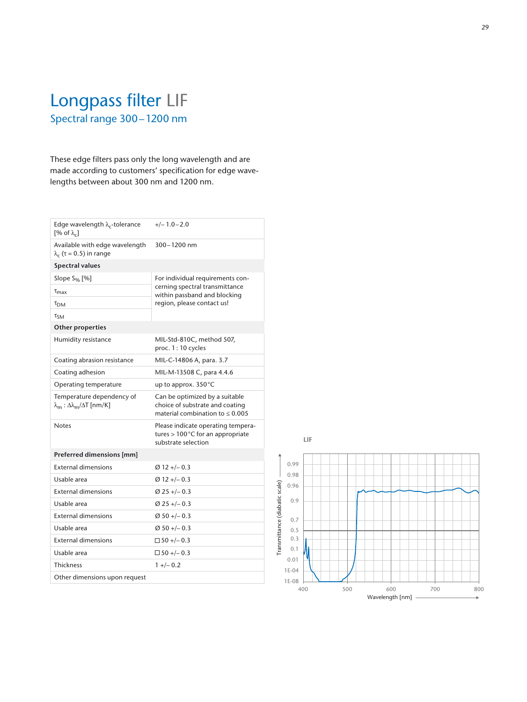## Longpass filter LIF Spectral range 300–1200 nm

These edge filters pass only the long wavelength and are made according to customers' specification for edge wavelengths between about 300 nm and 1200 nm.

| Edge wavelength $\lambda_c$ -tolerance<br>[% of $\lambda_c$ ]          | $+/- 1.0 - 2.0$                                                                                           |
|------------------------------------------------------------------------|-----------------------------------------------------------------------------------------------------------|
| Available with edge wavelength<br>$\lambda_c$ ( $\tau$ = 0.5) in range | 300-1200 nm                                                                                               |
| <b>Spectral values</b>                                                 |                                                                                                           |
| Slope $S_{\%}$ [%]                                                     | For individual requirements con-                                                                          |
| $\tau_{\text{max}}$                                                    | cerning spectral transmittance<br>within passband and blocking                                            |
| $\tau_{DM}$                                                            | region, please contact us!                                                                                |
| $\tau_{SM}$                                                            |                                                                                                           |
| <b>Other properties</b>                                                |                                                                                                           |
| Humidity resistance                                                    | MIL-Std-810C, method 507,<br>proc. 1:10 cycles                                                            |
| Coating abrasion resistance                                            | MIL-C-14806 A, para. 3.7                                                                                  |
| Coating adhesion                                                       | MIL-M-13508 C, para 4.4.6                                                                                 |
| Operating temperature                                                  | up to approx. 350°C                                                                                       |
| Temperature dependency of<br>$λm : Δλm/ΔT [nm/K]$                      | Can be optimized by a suitable<br>choice of substrate and coating<br>material combination to $\leq 0.005$ |
| <b>Notes</b>                                                           | Please indicate operating tempera-<br>tures > 100°C for an appropriate<br>substrate selection             |
| Preferred dimensions [mm]                                              |                                                                                                           |
| <b>External dimensions</b>                                             | $Ø$ 12 +/- 0.3                                                                                            |
| Usable area                                                            | $\varnothing$ 12 +/- 0.3                                                                                  |
| <b>External dimensions</b>                                             | $Ø$ 25 +/- 0.3                                                                                            |
| Usable area                                                            |                                                                                                           |
|                                                                        | $\varnothing$ 25 +/- 0.3                                                                                  |
| <b>External dimensions</b>                                             | $\varnothing$ 50 +/- 0.3                                                                                  |
| Usable area                                                            | $\varnothing$ 50 +/- 0.3                                                                                  |
| <b>External dimensions</b>                                             | $\Box$ 50 +/- 0.3                                                                                         |
| Usable area                                                            | $\Box$ 50 +/- 0.3                                                                                         |
| <b>Thickness</b>                                                       | $1 + (-0.2)$                                                                                              |
| Other dimensions upon request                                          |                                                                                                           |



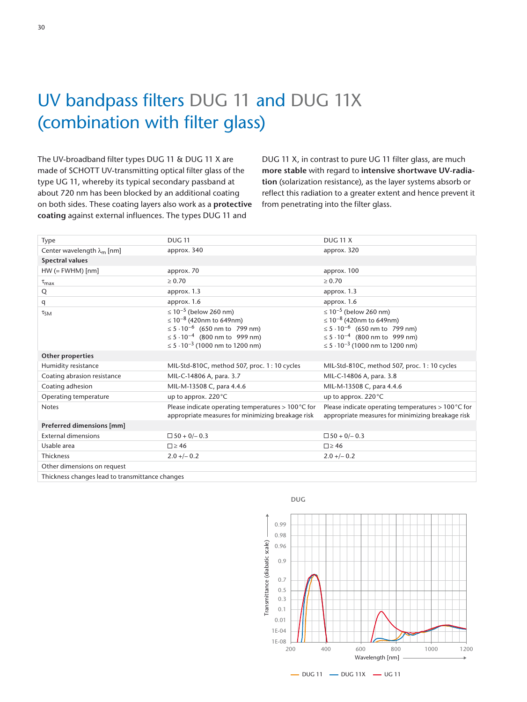## UV bandpass filters DUG 11 and DUG 11X (combination with filter glass)

The UV-broadband filter types DUG 11 & DUG 11 X are made of SCHOTT UV-transmitting optical filter glass of the type UG 11, whereby its typical secondary passband at about 720 nm has been blocked by an additional coating on both sides. These coating layers also work as a **protective coating** against external influences. The types DUG 11 and

DUG 11 X, in contrast to pure UG 11 filter glass, are much **more stable** with regard to **intensive shortwave UV-radiation** (solarization resistance), as the layer systems absorb or reflect this radiation to a greater extent and hence prevent it from penetrating into the filter glass.

| Type                                 | <b>DUG 11</b>                                                                                                                                                                                                                     | <b>DUG 11 X</b>                                                                                                                                                                                                                     |
|--------------------------------------|-----------------------------------------------------------------------------------------------------------------------------------------------------------------------------------------------------------------------------------|-------------------------------------------------------------------------------------------------------------------------------------------------------------------------------------------------------------------------------------|
| Center wavelength $\lambda_{m}$ [nm] | approx. 340                                                                                                                                                                                                                       | approx. 320                                                                                                                                                                                                                         |
| <b>Spectral values</b>               |                                                                                                                                                                                                                                   |                                                                                                                                                                                                                                     |
| $HW (= FWHM)$ [nm]                   | approx. 70                                                                                                                                                                                                                        | approx. 100                                                                                                                                                                                                                         |
| $\tau_{\text{max}}$                  | $\geq 0.70$                                                                                                                                                                                                                       | $\ge 0.70$                                                                                                                                                                                                                          |
| Q                                    | approx. 1.3                                                                                                                                                                                                                       | approx. 1.3                                                                                                                                                                                                                         |
| q                                    | approx. 1.6                                                                                                                                                                                                                       | approx. 1.6                                                                                                                                                                                                                         |
| $\tau_{SM}$                          | ≤ 10 <sup>-5</sup> (below 260 nm)<br>≤ 10 <sup>-8</sup> (420nm to 649nm)<br>$\leq$ 5 $\cdot$ 10 <sup>-6</sup> (650 nm to 799 nm)<br>$\leq 5.10^{-4}$ (800 nm to 999 nm)<br>$\leq$ 5 $\cdot$ 10 <sup>-3</sup> (1000 nm to 1200 nm) | ≤ 10 <sup>-5</sup> (below 260 nm)<br>$\leq 10^{-8}$ (420nm to 649nm)<br>≤ 5 · 10 <sup>-6</sup> (650 nm to 799 nm)<br>$\leq$ 5 $\cdot$ 10 <sup>-4</sup> (800 nm to 999 nm)<br>$\leq$ 5 $\cdot$ 10 <sup>-3</sup> (1000 nm to 1200 nm) |
| Other properties                     |                                                                                                                                                                                                                                   |                                                                                                                                                                                                                                     |
| Humidity resistance                  | MIL-Std-810C, method 507, proc. 1: 10 cycles                                                                                                                                                                                      | MIL-Std-810C, method 507, proc. 1: 10 cycles                                                                                                                                                                                        |
| Coating abrasion resistance          | MIL-C-14806 A, para. 3.7                                                                                                                                                                                                          | MIL-C-14806 A, para. 3.8                                                                                                                                                                                                            |
| Coating adhesion                     | MIL-M-13508 C, para 4.4.6                                                                                                                                                                                                         | MIL-M-13508 C, para 4.4.6                                                                                                                                                                                                           |
| Operating temperature                | up to approx. 220 °C                                                                                                                                                                                                              | up to approx. 220°C                                                                                                                                                                                                                 |
| <b>Notes</b>                         | Please indicate operating temperatures $> 100$ °C for<br>appropriate measures for minimizing breakage risk                                                                                                                        | Please indicate operating temperatures $> 100$ °C for<br>appropriate measures for minimizing breakage risk                                                                                                                          |
| Preferred dimensions [mm]            |                                                                                                                                                                                                                                   |                                                                                                                                                                                                                                     |
| <b>External dimensions</b>           | $\Box$ 50 + 0/- 0.3                                                                                                                                                                                                               | $\Box$ 50 + 0/- 0.3                                                                                                                                                                                                                 |
| Usable area                          | $\square$ > 46                                                                                                                                                                                                                    | $\Box$ > 46                                                                                                                                                                                                                         |
| Thickness                            | $2.0 + -0.2$                                                                                                                                                                                                                      | $2.0 + -0.2$                                                                                                                                                                                                                        |
| Other dimensions on request          |                                                                                                                                                                                                                                   |                                                                                                                                                                                                                                     |

Thickness changes lead to transmittance changes



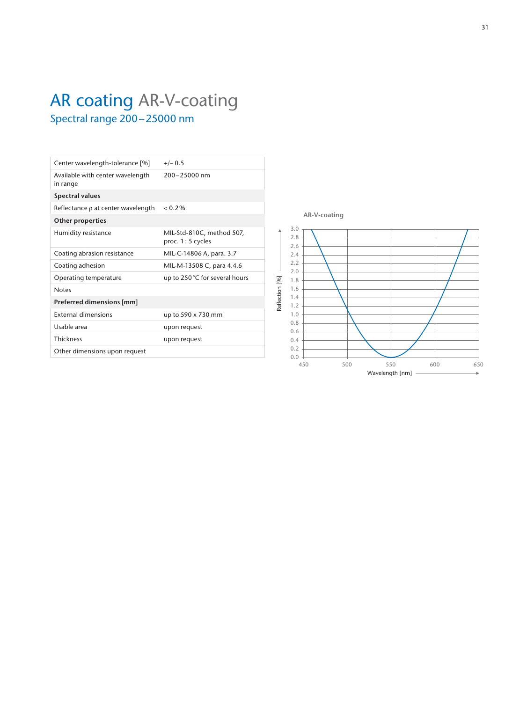## AR coating AR-V-coating Spectral range 200–25000 nm

| Center wavelength-tolerance [%]              | $+/- 0.5$                                      |
|----------------------------------------------|------------------------------------------------|
| Available with center wavelength<br>in range | $200 - 25000$ nm                               |
| <b>Spectral values</b>                       |                                                |
| Reflectance $\rho$ at center wavelength      | $< 0.2\%$                                      |
| <b>Other properties</b>                      |                                                |
| Humidity resistance                          | MIL-Std-810C, method 507,<br>proc. 1: 5 cycles |
| Coating abrasion resistance                  | MIL-C-14806 A, para. 3.7                       |
| Coating adhesion                             | MIL-M-13508 C, para 4.4.6                      |
| Operating temperature                        | up to 250°C for several hours                  |
| <b>Notes</b>                                 |                                                |
| Preferred dimensions [mm]                    |                                                |
| <b>External dimensions</b>                   | up to 590 x 730 mm                             |
| Usable area                                  | upon request                                   |
| <b>Thickness</b>                             | upon request                                   |
| Other dimensions upon request                |                                                |
|                                              |                                                |

**AR-V-coating**

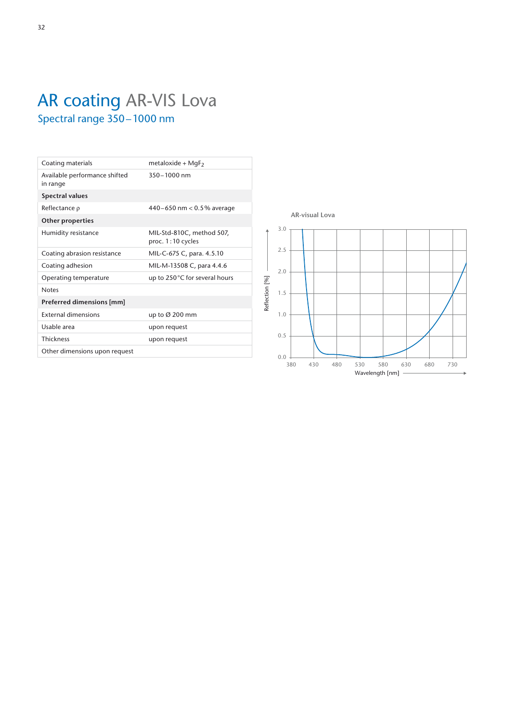## AR coating AR-VIS Lova Spectral range 350–1000 nm

| Coating materials                         | metaloxide + MgF <sub>2</sub>                    |
|-------------------------------------------|--------------------------------------------------|
| Available performance shifted<br>in range | $350 - 1000$ nm                                  |
| <b>Spectral values</b>                    |                                                  |
| Reflectance $\rho$                        | 440-650 nm < 0.5% average                        |
| <b>Other properties</b>                   |                                                  |
| Humidity resistance                       | MIL-Std-810C, method 507,<br>proc. $1:10$ cycles |
| Coating abrasion resistance               | MIL-C-675 C, para. 4.5.10                        |
| Coating adhesion                          | MIL-M-13508 C, para 4.4.6                        |
| Operating temperature                     | up to 250°C for several hours                    |
| <b>Notes</b>                              |                                                  |
| Preferred dimensions [mm]                 |                                                  |
| <b>External dimensions</b>                | up to $\varnothing$ 200 mm                       |
| Usable area                               | upon request                                     |
| <b>Thickness</b>                          | upon request                                     |
| Other dimensions upon request             |                                                  |
|                                           |                                                  |

**AR-visual Lova**

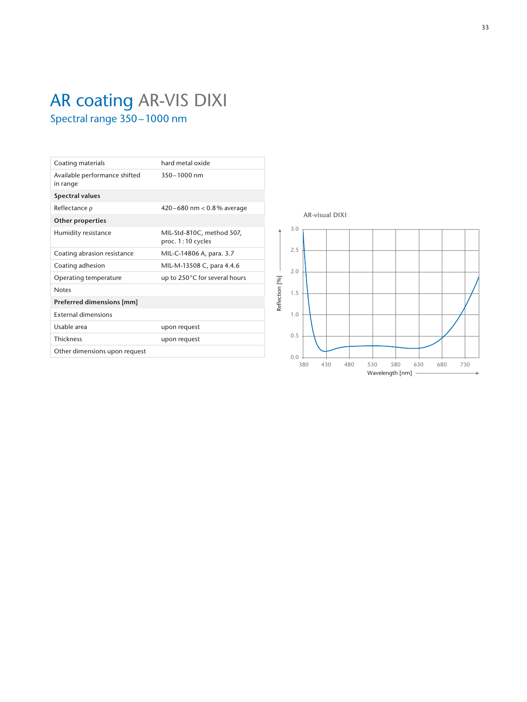## AR coating AR-VIS DIXI Spectral range 350–1000 nm

| Coating materials                         | hard metal oxide                                 |
|-------------------------------------------|--------------------------------------------------|
| Available performance shifted<br>in range | $350 - 1000$ nm                                  |
| <b>Spectral values</b>                    |                                                  |
| Reflectance $\rho$                        | 420–680 nm $< 0.8\%$ average                     |
| <b>Other properties</b>                   |                                                  |
| Humidity resistance                       | MIL-Std-810C, method 507,<br>proc. $1:10$ cycles |
| Coating abrasion resistance               | MIL-C-14806 A, para. 3.7                         |
| Coating adhesion                          | MIL-M-13508 C, para 4.4.6                        |
| Operating temperature                     | up to $250^{\circ}$ C for several hours          |
| <b>Notes</b>                              |                                                  |
| Preferred dimensions [mm]                 |                                                  |
| <b>External dimensions</b>                |                                                  |
| Usable area                               | upon request                                     |
| <b>Thickness</b>                          | upon request                                     |
| Other dimensions upon request             |                                                  |
|                                           |                                                  |

**AR-visual DIXI**

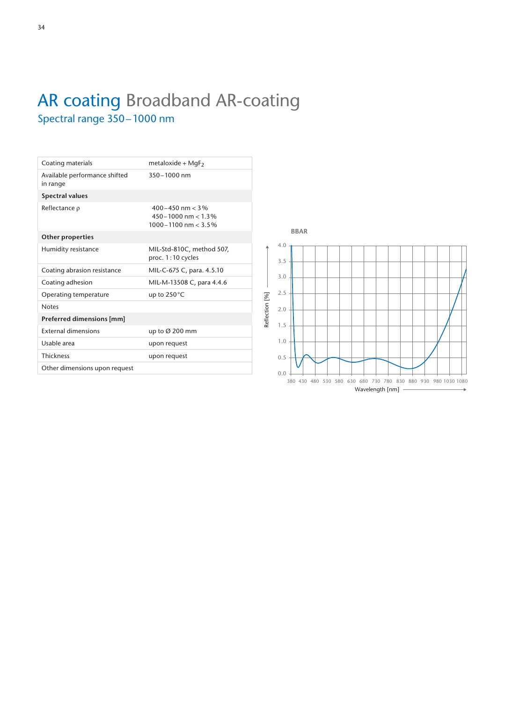## AR coating Broadband AR-coating Spectral range 350–1000 nm

| Coating materials                         | metaloxide + MgF <sub>2</sub>                                                  |
|-------------------------------------------|--------------------------------------------------------------------------------|
| Available performance shifted<br>in range | 350-1000 nm                                                                    |
| <b>Spectral values</b>                    |                                                                                |
| Reflectance $\rho$                        | $400 - 450$ nm $< 3\%$<br>$450 - 1000$ nm < 1.3%<br>$1000 - 1100$ nm < $3.5\%$ |
| <b>Other properties</b>                   |                                                                                |
| Humidity resistance                       | MIL-Std-810C, method 507,<br>proc. $1:10$ cycles                               |
| Coating abrasion resistance               | MIL-C-675 C, para. 4.5.10                                                      |
| Coating adhesion                          | MIL-M-13508 C, para 4.4.6                                                      |
| Operating temperature                     | up to 250°C                                                                    |
| <b>Notes</b>                              |                                                                                |
| Preferred dimensions [mm]                 |                                                                                |
| <b>External dimensions</b>                | up to Ø 200 mm                                                                 |
| Usable area                               | upon request                                                                   |
| Thickness                                 | upon request                                                                   |
| Other dimensions upon request             |                                                                                |
|                                           |                                                                                |

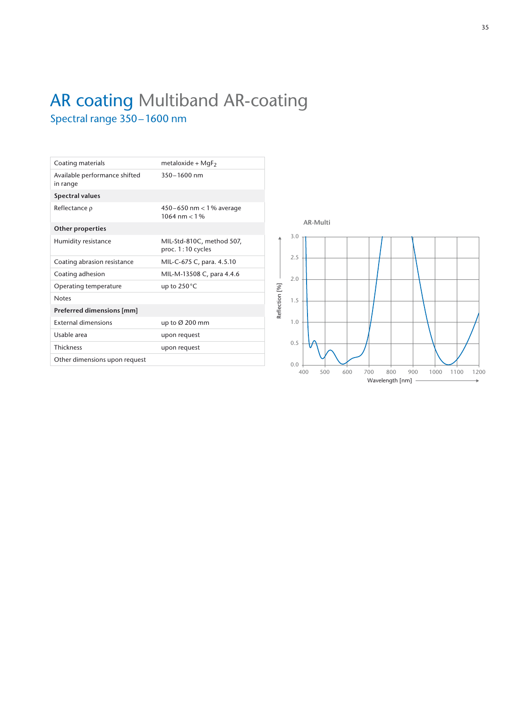## AR coating Multiband AR-coating Spectral range 350–1600 nm

| Coating materials                         | metaloxide + $MqF_2$                               |
|-------------------------------------------|----------------------------------------------------|
| Available performance shifted<br>in range | 350-1600 nm                                        |
| <b>Spectral values</b>                    |                                                    |
| Reflectance $\rho$                        | 450-650 nm < 1% average<br>$1064 \text{ nm} < 1\%$ |
| <b>Other properties</b>                   |                                                    |
| Humidity resistance                       | MIL-Std-810C, method 507,<br>proc. 1:10 cycles     |
| Coating abrasion resistance               | MIL-C-675 C, para. 4.5.10                          |
| Coating adhesion                          | MIL-M-13508 C, para 4.4.6                          |
| Operating temperature                     | up to 250 °C                                       |
| <b>Notes</b>                              |                                                    |
| Preferred dimensions [mm]                 |                                                    |
| <b>External dimensions</b>                | up to $\varnothing$ 200 mm                         |
| Usable area                               | upon request                                       |
| <b>Thickness</b>                          | upon request                                       |
| Other dimensions upon request             |                                                    |
|                                           |                                                    |

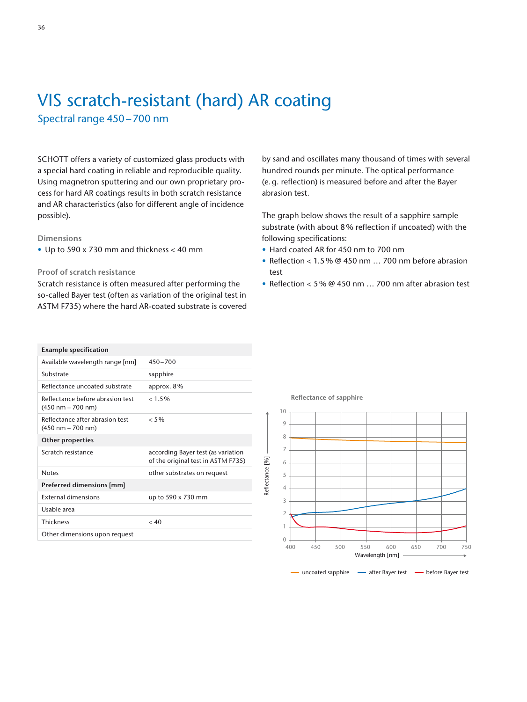## VIS scratch-resistant (hard) AR coating

Spectral range 450–700 nm

SCHOTT offers a variety of customized glass products with a special hard coating in reliable and reproducible quality. Using magnetron sputtering and our own proprietary process for hard AR coatings results in both scratch resistance and AR characteristics (also for different angle of incidence possible).

#### **Dimensions**

• Up to 590 x 730 mm and thickness < 40 mm

#### **Proof of scratch resistance**

Scratch resistance is often measured after performing the so-called Bayer test (often as variation of the original test in ASTM F735) where the hard AR-coated substrate is covered by sand and oscillates many thousand of times with several hundred rounds per minute. The optical performance (e.g. reflection) is measured before and after the Bayer abrasion test.

The graph below shows the result of a sapphire sample substrate (with about 8% reflection if uncoated) with the following specifications:

- Hard coated AR for 450 nm to 700 nm
- Reflection < 1.5% @ 450 nm … 700 nm before abrasion test
- Reflection < 5% @ 450 nm … 700 nm after abrasion test

| <b>Example specification</b>                                            |                                                                          |
|-------------------------------------------------------------------------|--------------------------------------------------------------------------|
| Available wavelength range [nm]                                         | $450 - 700$                                                              |
| Substrate                                                               | sapphire                                                                 |
| Reflectance uncoated substrate                                          | approx. $8\%$                                                            |
| Reflectance before abrasion test<br>$(450 \text{ nm} - 700 \text{ nm})$ | < 1.5%                                                                   |
| Reflectance after abrasion test<br>$(450 \text{ nm} - 700 \text{ nm})$  | $< 5\%$                                                                  |
| <b>Other properties</b>                                                 |                                                                          |
|                                                                         |                                                                          |
| Scratch resistance                                                      | according Bayer test (as variation<br>of the original test in ASTM F735) |
| <b>Notes</b>                                                            | other substrates on request                                              |
| Preferred dimensions [mm]                                               |                                                                          |
| <b>External dimensions</b>                                              | up to 590 x 730 mm                                                       |
| Usable area                                                             |                                                                          |
| Thickness                                                               | < 40                                                                     |

**Reflectance of sapphire** 

Reflectance [%]

Reflectance [%]



- uncoated sapphire - after Bayer test - before Bayer test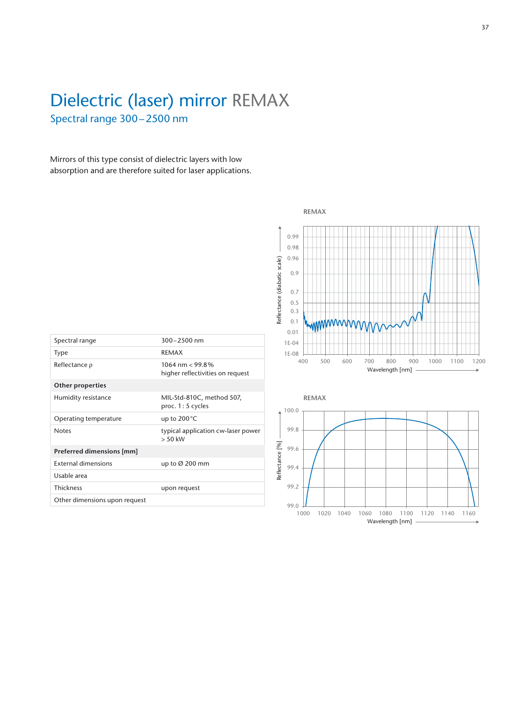## Dielectric (laser) mirror REMAX Spectral range 300–2500 nm

Mirrors of this type consist of dielectric layers with low absorption and are therefore suited for laser applications.

|                               |                                                       | Reflectance (diabatic scale) | 0.99<br>0.98<br>0.96<br>0.9<br>0.7<br>0.5<br>0.3<br>0.1<br>0.01 | mmmmmmm                                                           |
|-------------------------------|-------------------------------------------------------|------------------------------|-----------------------------------------------------------------|-------------------------------------------------------------------|
| Spectral range                | 300-2500 nm                                           |                              | 1E-04                                                           |                                                                   |
| Type                          | <b>REMAX</b>                                          |                              | 1E-08                                                           |                                                                   |
| Reflectance p                 | 1064 nm $<$ 99.8%<br>higher reflectivities on request |                              |                                                                 | 500<br>700<br>800<br>400<br>600<br>900<br>1000<br>Wavelength [nm] |
| Other properties              |                                                       |                              |                                                                 |                                                                   |
| Humidity resistance           | MIL-Std-810C, method 507,<br>proc. 1:5 cycles         |                              | 100.0                                                           | <b>REMAX</b>                                                      |
| Operating temperature         | up to 200°C                                           |                              |                                                                 |                                                                   |
| Notes                         | typical application cw-laser power<br>$> 50$ kW       |                              | 99.8                                                            |                                                                   |
| Preferred dimensions [mm]     |                                                       | Reflectance [%]              | 99.6                                                            |                                                                   |
| <b>External dimensions</b>    | up to Ø 200 mm                                        |                              | 99.4                                                            |                                                                   |
| Usable area                   |                                                       |                              |                                                                 |                                                                   |
| <b>Thickness</b>              | upon request                                          |                              | 99.2                                                            |                                                                   |
| Other dimensions upon request |                                                       |                              | 99.0                                                            | 1022<br>1000<br>1010<br>10/2<br>1000                              |

| Spectral range                     | $300 - 2500$ nm                                       |
|------------------------------------|-------------------------------------------------------|
| <b>Type</b>                        | <b>REMAX</b>                                          |
| Reflectance $\rho$                 | 1064 nm $<$ 99.8%<br>higher reflectivities on request |
| <b>Other properties</b>            |                                                       |
| Humidity resistance                | MIL-Std-810C, method 507,<br>proc. $1:5$ cycles       |
| Operating temperature              | up to $200^{\circ}$ C                                 |
| <b>Notes</b>                       | typical application cw-laser power<br>$> 50$ kW       |
| Preferred dimensions [mm]          |                                                       |
| <b>External dimensions</b>         | up to $\varnothing$ 200 mm                            |
| Usable area                        |                                                       |
| <b>Thickness</b>                   | upon request                                          |
| Other discussions and complete and |                                                       |



**REMAX**

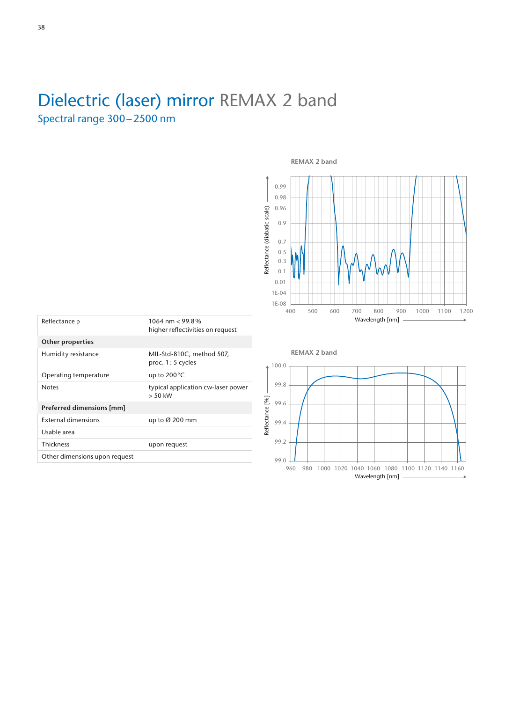## Dielectric (laser) mirror REMAX 2 band

Spectral range 300–2500 nm



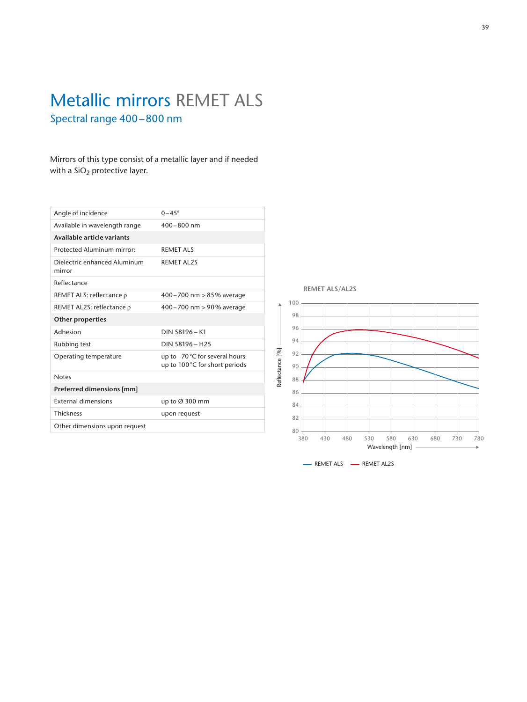## Metallic mirrors REMET ALS Spectral range 400–800 nm

Mirrors of this type consist of a metallic layer and if needed with a  $SiO<sub>2</sub>$  protective layer.

| Angle of incidence                     | $0-45^\circ$                                                  |
|----------------------------------------|---------------------------------------------------------------|
| Available in wavelength range          | $400 - 800$ nm                                                |
| Available article variants             |                                                               |
| Protected Aluminum mirror:             | <b>REMETALS</b>                                               |
| Dielectric enhanced Aluminum<br>mirror | <b>REMET AL2S</b>                                             |
| Reflectance                            |                                                               |
| REMET ALS: reflectance $\rho$          | 400-700 nm > 85% average                                      |
| REMET AL2S: reflectance $\rho$         | 400-700 nm > 90% average                                      |
| <b>Other properties</b>                |                                                               |
| Adhesion                               | DIN 58196 - K1                                                |
| Rubbing test                           | DIN 58196 - H <sub>25</sub>                                   |
| Operating temperature                  | up to 70°C for several hours<br>up to 100°C for short periods |
| <b>Notes</b>                           |                                                               |
| Preferred dimensions [mm]              |                                                               |
| <b>External dimensions</b>             | up to $\varnothing$ 300 mm                                    |
| <b>Thickness</b>                       | upon request                                                  |
| Other dimensions upon request          |                                                               |
|                                        |                                                               |

**REMET ALS/AL2S**

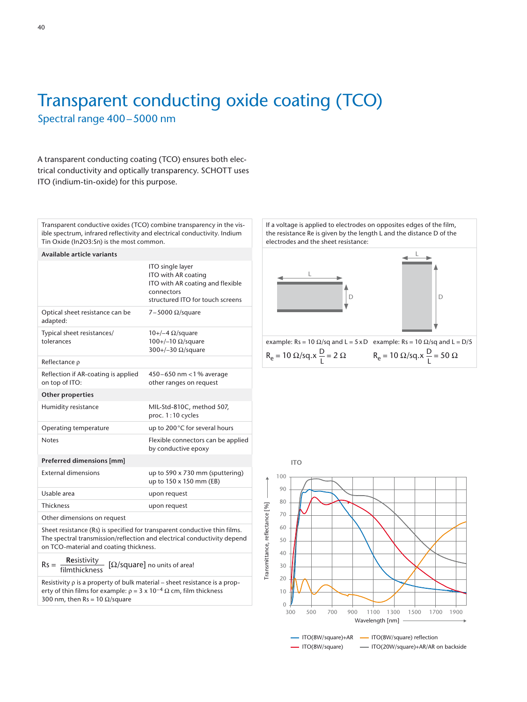## Transparent conducting oxide coating (TCO) Spectral range 400–5000 nm

A transparent conducting coating (TCO) ensures both electrical conductivity and optically transparency. SCHOTT uses ITO (indium-tin-oxide) for this purpose.

Transparent conductive oxides (TCO) combine transparency in the visible spectrum, infrared reflectivity and electrical conductivity. Indium Tin Oxide (In2O3:Sn) is the most common.

#### **Available article variants**

|                                                       | ITO single layer<br>ITO with AR coating<br>ITO with AR coating and flexible<br>connectors<br>structured ITO for touch screens |
|-------------------------------------------------------|-------------------------------------------------------------------------------------------------------------------------------|
| Optical sheet resistance can be<br>adapted:           | 7-5000 $\Omega$ /square                                                                                                       |
| Typical sheet resistances/<br>tolerances              | $10+/-4$ $\Omega$ /square<br>$100+/-10 \Omega/square$<br>300+/-30 $\Omega$ /square                                            |
| Reflectance $\rho$                                    |                                                                                                                               |
| Reflection if AR-coating is applied<br>on top of ITO: | 450-650 nm <1% average<br>other ranges on request                                                                             |
| <b>Other properties</b>                               |                                                                                                                               |
| Humidity resistance                                   | MIL-Std-810C, method 507,<br>proc. 1:10 cycles                                                                                |
| Operating temperature                                 | up to 200°C for several hours                                                                                                 |
| <b>Notes</b>                                          | Flexible connectors can be applied<br>by conductive epoxy                                                                     |
| Preferred dimensions [mm]                             |                                                                                                                               |
| <b>External dimensions</b>                            | up to $590 \times 730$ mm (sputtering)<br>up to 150 x 150 mm (EB)                                                             |

Usable area values of the upon request Thickness upon request Other dimensions on request

Sheet resistance (Rs) is specified for transparent conductive thin films. The spectral transmission/reflection and electrical conductivity depend on TCO-material and coating thickness.

Rs = **Re**sistivity [Ω/square] no units of area! filmthickness

Resistivity ρ is a property of bulk material – sheet resistance is a property of thin films for example:  $\rho = 3 \times 10^{-4} \Omega$  cm, film thickness 300 nm, then Rs = 10  $\Omega$ /square

If a voltage is applied to electrodes on opposites edges of the film, the resistance Re is given by the length L and the distance D of the electrodes and the sheet resistance:



example: Rs = 10 Ω/sq and L = 5 x D example: Rs = 10 Ω/sq and L = D/5  $R_e = 10 Ω/sq.x \frac{D}{L} = 2 Ω$   $R_e = 10 Ω/sq.x \frac{D}{L} = 50 Ω$ 

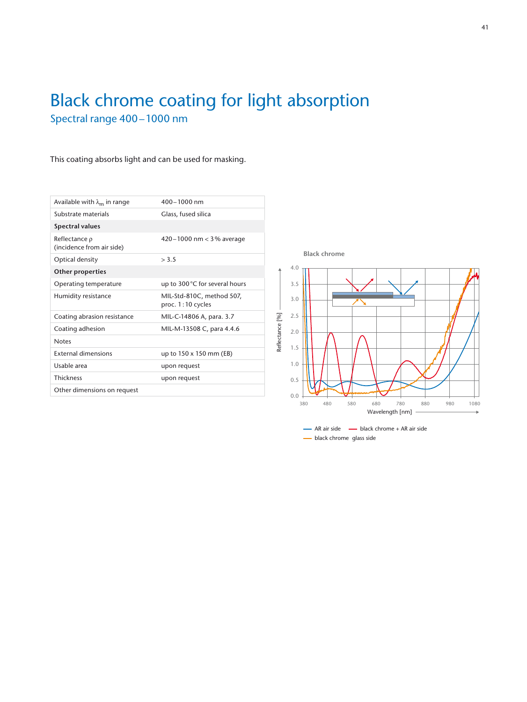## Black chrome coating for light absorption Spectral range 400–1000 nm

#### This coating absorbs light and can be used for masking.

| Available with $\lambda_{m}$ in range           | $400 - 1000$ nm                                |
|-------------------------------------------------|------------------------------------------------|
| Substrate materials                             | Glass, fused silica                            |
| <b>Spectral values</b>                          |                                                |
| Reflectance $\rho$<br>(incidence from air side) | 420 – 1000 nm $<$ 3% average                   |
| Optical density                                 | > 3.5                                          |
| <b>Other properties</b>                         |                                                |
| Operating temperature                           | up to 300°C for several hours                  |
| Humidity resistance                             | MIL-Std-810C, method 507,<br>proc. 1:10 cycles |
| Coating abrasion resistance                     | MIL-C-14806 A, para. 3.7                       |
| Coating adhesion                                | MIL-M-13508 C, para 4.4.6                      |
| <b>Notes</b>                                    |                                                |
| <b>External dimensions</b>                      | up to 150 x 150 mm (EB)                        |
| Usable area                                     | upon request                                   |
| Thickness                                       | upon request                                   |
| Other dimensions on request                     |                                                |

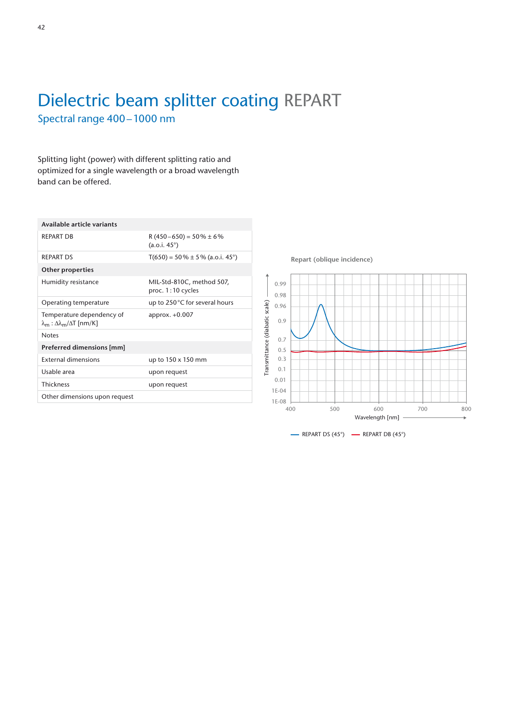## Dielectric beam splitter coating REPART Spectral range 400–1000 nm

Splitting light (power) with different splitting ratio and optimized for a single wavelength or a broad wavelength band can be offered.

| Available article variants                                                               |                                                      |
|------------------------------------------------------------------------------------------|------------------------------------------------------|
| <b>REPART DB</b>                                                                         | $R(450-650) = 50\% \pm 6\%$<br>$(a.o.i. 45^{\circ})$ |
| <b>REPART DS</b>                                                                         | $T(650) = 50\% \pm 5\%$ (a.o.i. 45°)                 |
| <b>Other properties</b>                                                                  |                                                      |
| Humidity resistance                                                                      | MIL-Std-810C, method 507,<br>proc. 1:10 cycles       |
| Operating temperature                                                                    | up to 250°C for several hours                        |
| Temperature dependency of<br>$\lambda_{\rm m}$ : $\Delta\lambda_{\rm m}/\Delta T$ [nm/K] | approx. $+0.007$                                     |
| <b>Notes</b>                                                                             |                                                      |
| Preferred dimensions [mm]                                                                |                                                      |
| <b>External dimensions</b>                                                               | up to 150 x 150 mm                                   |
| Usable area                                                                              | upon request                                         |
| Thickness                                                                                | upon request                                         |
| Other dimensions upon request                                                            |                                                      |
|                                                                                          |                                                      |

**Repart (oblique incidence)**

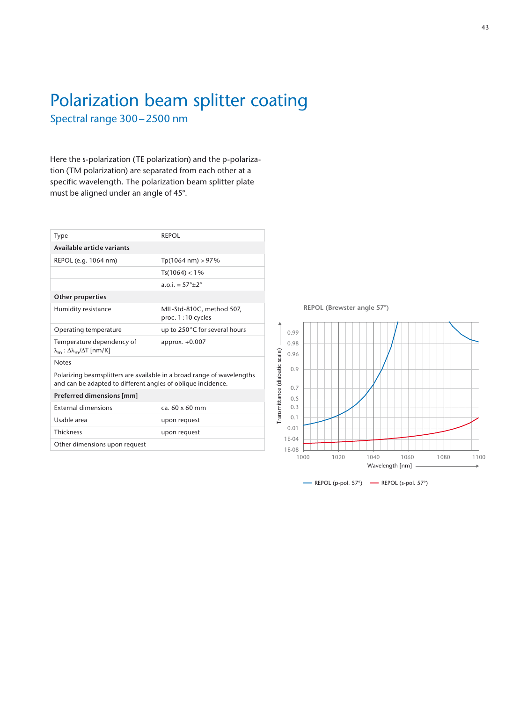## Polarization beam splitter coating Spectral range 300–2500 nm

Here the s-polarization (TE polarization) and the p-polarization (TM polarization) are separated from each other at a specific wavelength. The polarization beam splitter plate must be aligned under an angle of 45°.

| Type                                                                                                                                   | REPOL                                            |
|----------------------------------------------------------------------------------------------------------------------------------------|--------------------------------------------------|
| Available article variants                                                                                                             |                                                  |
| REPOL (e.g. 1064 nm)                                                                                                                   | $Tp(1064 nm) > 97\%$                             |
|                                                                                                                                        | $Ts(1064) < 1\%$                                 |
|                                                                                                                                        | $a \cdot 0$ i = 57°+2°                           |
| <b>Other properties</b>                                                                                                                |                                                  |
| Humidity resistance                                                                                                                    | MIL-Std-810C, method 507,<br>proc. $1:10$ cycles |
| Operating temperature                                                                                                                  | up to 250°C for several hours                    |
| Temperature dependency of<br>$\lambda_{\rm m}$ : Δ $\lambda_{\rm m}/\Delta$ T [nm/K]                                                   | approx. +0.007                                   |
| <b>Notes</b>                                                                                                                           |                                                  |
| Polarizing beamsplitters are available in a broad range of wavelengths<br>and can be adapted to different angles of oblique incidence. |                                                  |
| Preferred dimensions [mm]                                                                                                              |                                                  |
| <b>External dimensions</b>                                                                                                             | ca. $60 \times 60$ mm                            |
| Usable area                                                                                                                            | upon request                                     |
| <b>Thickness</b>                                                                                                                       | upon request                                     |
| Other dimensions upon request                                                                                                          |                                                  |

**REPOL (Brewster angle 57°)**



 $\longrightarrow$  REPOL (p-pol. 57°)  $\longrightarrow$  REPOL (s-pol. 57°)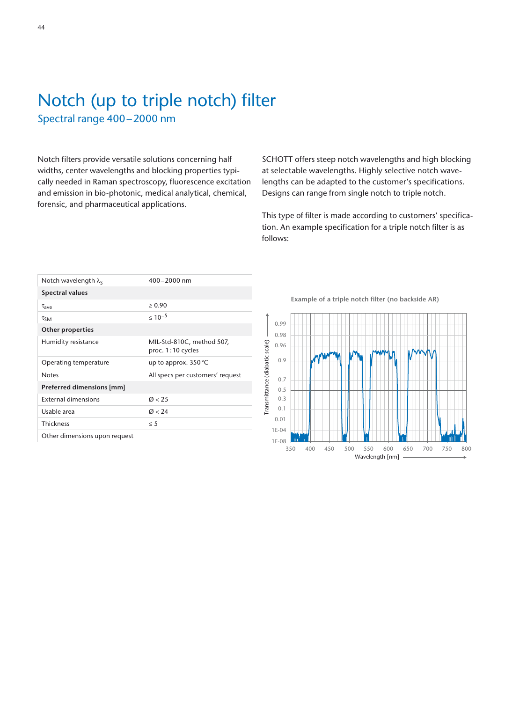## Notch (up to triple notch) filter Spectral range 400–2000 nm

Notch filters provide versatile solutions concerning half widths, center wavelengths and blocking properties typically needed in Raman spectroscopy, fluorescence excitation and emission in bio-photonic, medical analytical, chemical, forensic, and pharmaceutical applications.

SCHOTT offers steep notch wavelengths and high blocking at selectable wavelengths. Highly selective notch wavelengths can be adapted to the customer's specifications. Designs can range from single notch to triple notch.

This type of filter is made according to customers' specification. An example specification for a triple notch filter is as follows:

| Notch wavelength $\lambda_{S}$ | $400 - 2000$ nm                                |
|--------------------------------|------------------------------------------------|
| <b>Spectral values</b>         |                                                |
| $\tau_{\rm ave}$               | > 0.90                                         |
| $\tau_{SM}$                    | $\leq 10^{-5}$                                 |
| <b>Other properties</b>        |                                                |
| Humidity resistance            | MIL-Std-810C, method 507,<br>proc. 1:10 cycles |
|                                |                                                |
| Operating temperature          | up to approx. 350 °C                           |
| <b>Notes</b>                   | All specs per customers' request               |
| Preferred dimensions [mm]      |                                                |
| <b>External dimensions</b>     | 0 < 25                                         |
| Usable area                    | 0 < 24                                         |
| <b>Thickness</b>               | $\leq$ 5                                       |

Example of a triple notch filter (no backside AR)

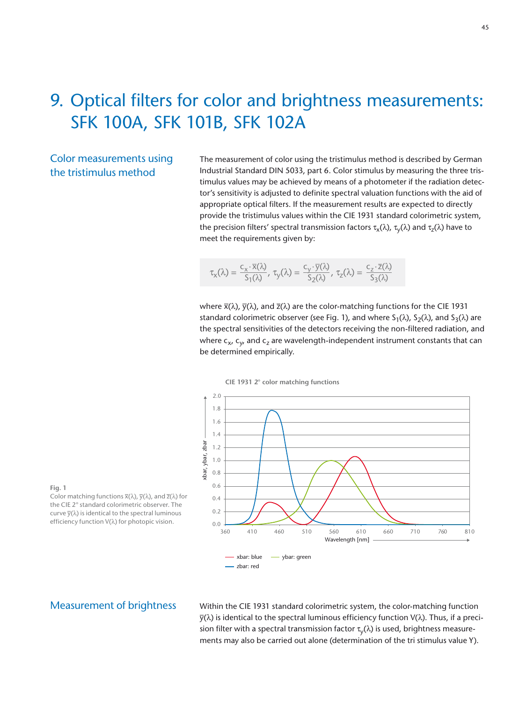## 9. Optical filters for color and brightness measurements: SFK 100A, SFK 101B, SFK 102A

#### Color measurements using the tristimulus method

The measurement of color using the tristimulus method is described by German Industrial Standard DIN 5033, part 6. Color stimulus by measuring the three tristimulus values may be achieved by means of a photometer if the radiation detector's sensitivity is adjusted to definite spectral valuation functions with the aid of appropriate optical filters. If the measurement results are expected to directly provide the tristimulus values within the CIE 1931 standard colorimetric system, the precision filters' spectral transmission factors  $\tau_x(\lambda)$ ,  $\tau_y(\lambda)$  and  $\tau_z(\lambda)$  have to meet the requirements given by:

$$
\tau_x(\lambda)=\frac{c_x\cdot\overline{x}(\lambda)}{S_1(\lambda)},\ \tau_y(\lambda)=\frac{c_y\cdot\overline{y}(\lambda)}{S_2(\lambda)},\ \tau_z(\lambda)=\frac{c_z\cdot\overline{z}(\lambda)}{S_3(\lambda)}
$$

where  $\bar{x}(\lambda)$ ,  $\bar{y}(\lambda)$ , and  $\bar{z}(\lambda)$  are the color-matching functions for the CIE 1931 standard colorimetric observer (see Fig. 1), and where  $S_1(\lambda)$ ,  $S_2(\lambda)$ , and  $S_3(\lambda)$  are the spectral sensitivities of the detectors receiving the non-filtered radiation, and where  $c_x$ ,  $c_y$  and  $c_z$  are wavelength-independent instrument constants that can be determined empirically.





**Fig. 1**  Color matching functions  $\overline{x}(\lambda)$ ,  $\overline{y}(\lambda)$ , and  $\overline{z}(\lambda)$  for the CIE 2° standard colorimetric observer. The curve  $\overline{y}(\lambda)$  is identical to the spectral luminous efficiency function V(λ) for photopic vision.

#### Measurement of brightness

Within the CIE 1931 standard colorimetric system, the color-matching function  $\bar{y}(\lambda)$  is identical to the spectral luminous efficiency function V(λ). Thus, if a precision filter with a spectral transmission factor  $\tau_{\rm v}(\lambda)$  is used, brightness measurements may also be carried out alone (determination of the tri stimulus value Y).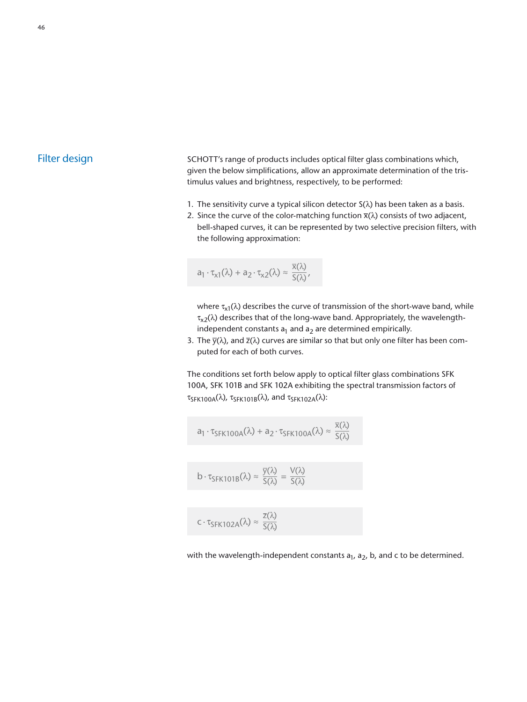#### Filter design

SCHOTT's range of products includes optical filter glass combinations which, given the below simplifications, allow an approximate determination of the tristimulus values and brightness, respectively, to be performed:

- 1. The sensitivity curve a typical silicon detector  $S(\lambda)$  has been taken as a basis.
- 2. Since the curve of the color-matching function  $\bar{x}(\lambda)$  consists of two adjacent, bell-shaped curves, it can be represented by two selective precision filters, with the following approximation:

$$
a_1 \cdot \tau_{x1}(\lambda) + a_2 \cdot \tau_{x2}(\lambda) \approx \frac{\overline{x}(\lambda)}{S(\lambda)},
$$

where  $\tau_{x1}(\lambda)$  describes the curve of transmission of the short-wave band, while  $\tau_{x2}(\lambda)$  describes that of the long-wave band. Appropriately, the wavelengthindependent constants  $a_1$  and  $a_2$  are determined empirically.

3. The  $\bar{y}(\lambda)$ , and  $\bar{z}(\lambda)$  curves are similar so that but only one filter has been computed for each of both curves.

The conditions set forth below apply to optical filter glass combinations SFK 100A, SFK 101B and SFK 102A exhibiting the spectral transmission factors of τ<sub>SFK100A</sub>(λ), τ<sub>SFK101B</sub>(λ), and τ<sub>SFK102A</sub>(λ):

$$
a_1 \cdot \tau_{SFK100A}(\lambda) + a_2 \cdot \tau_{SFK100A}(\lambda) \approx \frac{\overline{x}(\lambda)}{S(\lambda)}
$$
  

$$
b \cdot \tau_{SFK101B}(\lambda) \approx \frac{\overline{y}(\lambda)}{S(\lambda)} = \frac{V(\lambda)}{S(\lambda)}
$$
  

$$
c \cdot \tau_{SFK102A}(\lambda) \approx \frac{\overline{z}(\lambda)}{S(\lambda)}
$$

with the wavelength-independent constants  $a_1$ ,  $a_2$ , b, and c to be determined.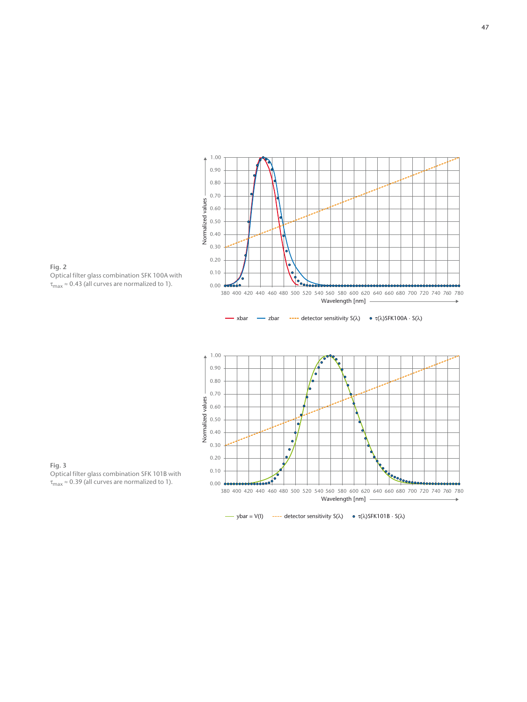







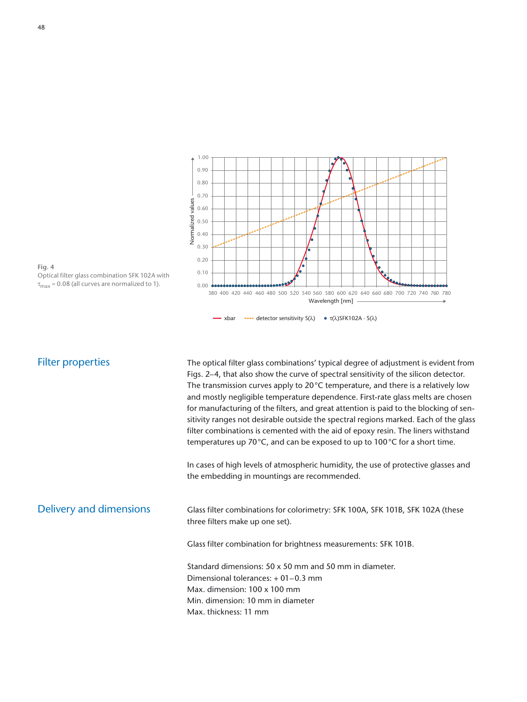

**Fig. 4**  Optical filter glass combination SFK 102A with  $\tau_{\text{max}} \approx 0.08$  (all curves are normalized to 1).

#### Filter properties

The optical filter glass combinations' typical degree of adjustment is evident from Figs. 2–4, that also show the curve of spectral sensitivity of the silicon detector. The transmission curves apply to 20°C temperature, and there is a relatively low and mostly negligible temperature dependence. First-rate glass melts are chosen for manufacturing of the filters, and great attention is paid to the blocking of sensitivity ranges not desirable outside the spectral regions marked. Each of the glass filter combinations is cemented with the aid of epoxy resin. The liners withstand temperatures up 70°C, and can be exposed to up to 100°C for a short time.

In cases of high levels of atmospheric humidity, the use of protective glasses and the embedding in mountings are recommended.

Delivery and dimensions

Glass filter combinations for colorimetry: SFK 100A, SFK 101B, SFK 102A (these three filters make up one set).

Glass filter combination for brightness measurements: SFK 101B.

Standard dimensions: 50 x 50 mm and 50 mm in diameter. Dimensional tolerances: + 01–0.3 mm Max. dimension: 100 x 100 mm Min. dimension: 10 mm in diameter Max. thickness: 11 mm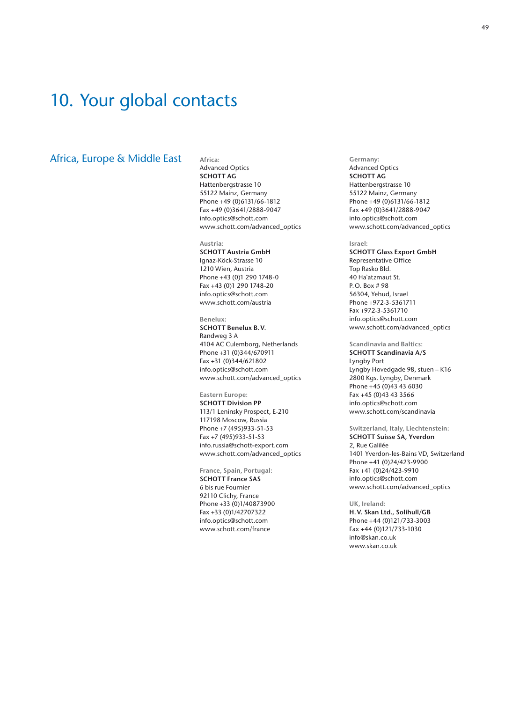## 10. Your global contacts

#### Africa, Europe & Middle East

**Africa:** 

Advanced Optics **SCHOTT AG** Hattenbergstrasse 10 55122 Mainz, Germany Phone +49 (0)6131/66-1812 Fax +49 (0)3641/2888-9047 info.optics@schott.com www.schott.com/advanced\_optics

**Austria: SCHOTT Austria GmbH** Ignaz-Köck-Strasse 10 1210 Wien, Austria Phone +43 (0)1 290 1748-0 Fax +43 (0)1 290 1748-20 info.optics@schott.com www.schott.com/austria

**Benelux: SCHOTT Benelux B.V.** Randweg 3 A 4104 AC Culemborg, Netherlands Phone +31 (0)344/670911 Fax +31 (0)344/621802 info.optics@schott.com www.schott.com/advanced\_optics

**Eastern Europe: SCHOTT Division PP** 113/1 Leninsky Prospect, E-210 117198 Moscow, Russia Phone +7 (495)933-51-53 Fax +7 (495)933-51-53 info.russia@schott-export.com www.schott.com/advanced\_optics

**France, Spain, Portugal: SCHOTT France SAS** 6 bis rue Fournier 92110 Clichy, France Phone +33 (0)1/40873900 Fax +33 (0)1/42707322 info.optics@schott.com www.schott.com/france

**Germany:** Advanced Optics **SCHOTT AG** Hattenbergstrasse 10 55122 Mainz, Germany Phone +49 (0)6131/66-1812 Fax +49 (0)3641/2888-9047 info.optics@schott.com www.schott.com/advanced\_optics

#### **Israel:**

**SCHOTT Glass Export GmbH** Representative Office Top Rasko Bld. 40 Ha`atzmaut St. P.O. Box # 98 56304, Yehud, Israel Phone +972-3-5361711 Fax +972-3-5361710 info.optics@schott.com www.schott.com/advanced\_optics

**Scandinavia and Baltics: SCHOTT Scandinavia A/S** Lyngby Port Lyngby Hovedgade 98, stuen – K16 2800 Kgs. Lyngby, Denmark Phone +45 (0)43 43 6030 Fax +45 (0)43 43 3566 info.optics@schott.com www.schott.com/scandinavia

**Switzerland, Italy, Liechtenstein: SCHOTT Suisse SA, Yverdon** 2, Rue Galilée 1401 Yverdon-les-Bains VD, Switzerland Phone +41 (0)24/423-9900 Fax +41 (0)24/423-9910 info.optics@schott.com www.schott.com/advanced\_optics

**UK, Ireland: H.V. Skan Ltd., Solihull/GB** Phone +44 (0)121/733-3003 Fax +44 (0)121/733-1030 info@skan.co.uk www.skan.co.uk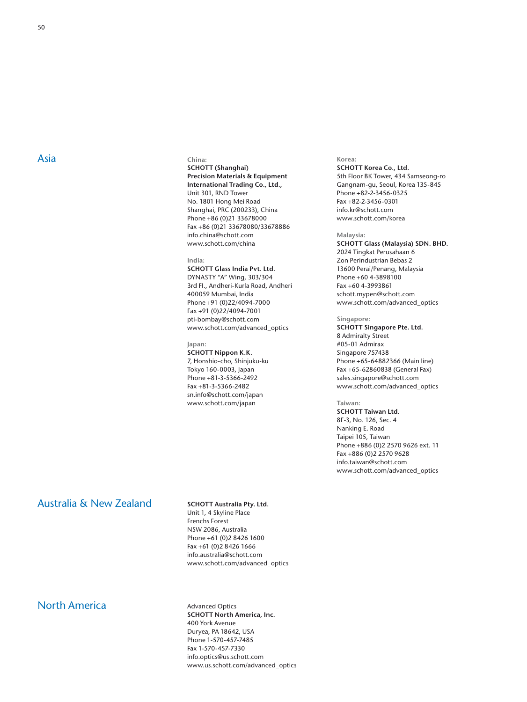#### **China:**

#### **SCHOTT (Shanghai) Precision Materials & Equipment International Trading Co., Ltd.,** Unit 301, RND Tower No. 1801 Hong Mei Road Shanghai, PRC (200233), China Phone +86 (0)21 33678000 Fax +86 (0)21 33678080/33678886 info.china@schott.com www.schott.com/china

#### **India:**

**SCHOTT Glass India Pvt. Ltd.**  DYNASTY "A" Wing, 303/304 3rd FI., Andheri-Kurla Road, Andheri 400059 Mumbai, India Phone +91 (0)22/4094-7000 Fax +91 (0)22/4094-7001 pti-bombay@schott.com www.schott.com/advanced\_optics

#### **Japan:**

**SCHOTT Nippon K.K.** 7, Honshio-cho, Shinjuku-ku Tokyo 160-0003, Japan Phone +81-3-5366-2492 Fax +81-3-5366-2482 sn.info@schott.com/japan www.schott.com/japan

#### **Korea: SCHOTT Korea Co., Ltd.** 5th Floor BK Tower, 434 Samseong-ro Gangnam-gu, Seoul, Korea 135-845 Phone +82-2-3456-0325 Fax +82-2-3456-0301 info.kr@schott.com www.schott.com/korea

#### **Malaysia:**

**SCHOTT Glass (Malaysia) SDN. BHD.** 2024 Tingkat Perusahaan 6 Zon Perindustrian Bebas 2 13600 Perai/Penang, Malaysia Phone +60 4-3898100 Fax +60 4-3993861 schott.mypen@schott.com www.schott.com/advanced\_optics

#### **Singapore:**

**SCHOTT Singapore Pte. Ltd.** 8 Admiralty Street #05-01 Admirax Singapore 757438 Phone +65-64882366 (Main line) Fax +65-62860838 (General Fax) sales.singapore@schott.com www.schott.com/advanced\_optics

#### **Taiwan:**

**SCHOTT Taiwan Ltd.** 8F-3, No. 126, Sec. 4 Nanking E. Road Taipei 105, Taiwan Phone +886 (0)2 2570 9626 ext. 11 Fax +886 (0)2 2570 9628 info.taiwan@schott.com www.schott.com/advanced\_optics

#### Australia & New Zealand

#### **SCHOTT Australia Pty. Ltd.**

Unit 1, 4 Skyline Place Frenchs Forest NSW 2086, Australia Phone +61 (0)2 8426 1600 Fax +61 (0)2 8426 1666 info.australia@schott.com www.schott.com/advanced\_optics

#### North America

Advanced Optics **SCHOTT North America, Inc.** 400 York Avenue Duryea, PA 18642, USA Phone 1-570-457-7485 Fax 1-570-457-7330 info.optics@us.schott.com www.us.schott.com/advanced\_optics